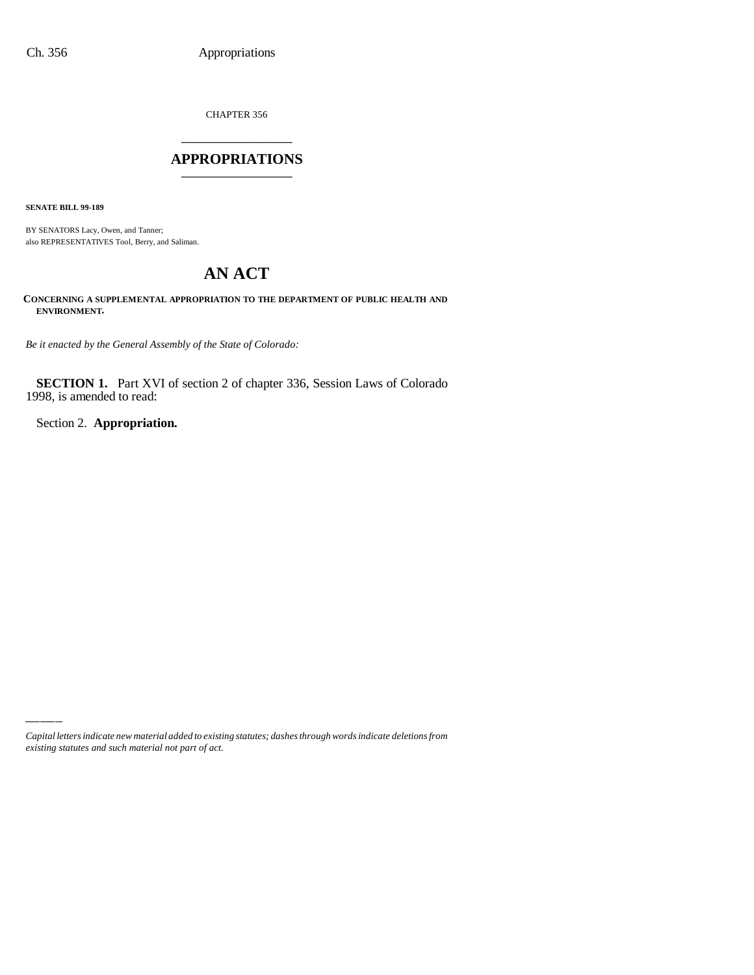CHAPTER 356 \_\_\_\_\_\_\_\_\_\_\_\_\_\_\_

## **APPROPRIATIONS** \_\_\_\_\_\_\_\_\_\_\_\_\_\_\_

**SENATE BILL 99-189**

BY SENATORS Lacy, Owen, and Tanner; also REPRESENTATIVES Tool, Berry, and Saliman.

# **AN ACT**

**CONCERNING A SUPPLEMENTAL APPROPRIATION TO THE DEPARTMENT OF PUBLIC HEALTH AND ENVIRONMENT.**

*Be it enacted by the General Assembly of the State of Colorado:*

**SECTION 1.** Part XVI of section 2 of chapter 336, Session Laws of Colorado 1998, is amended to read:

Section 2. **Appropriation.**

*Capital letters indicate new material added to existing statutes; dashes through words indicate deletions from existing statutes and such material not part of act.*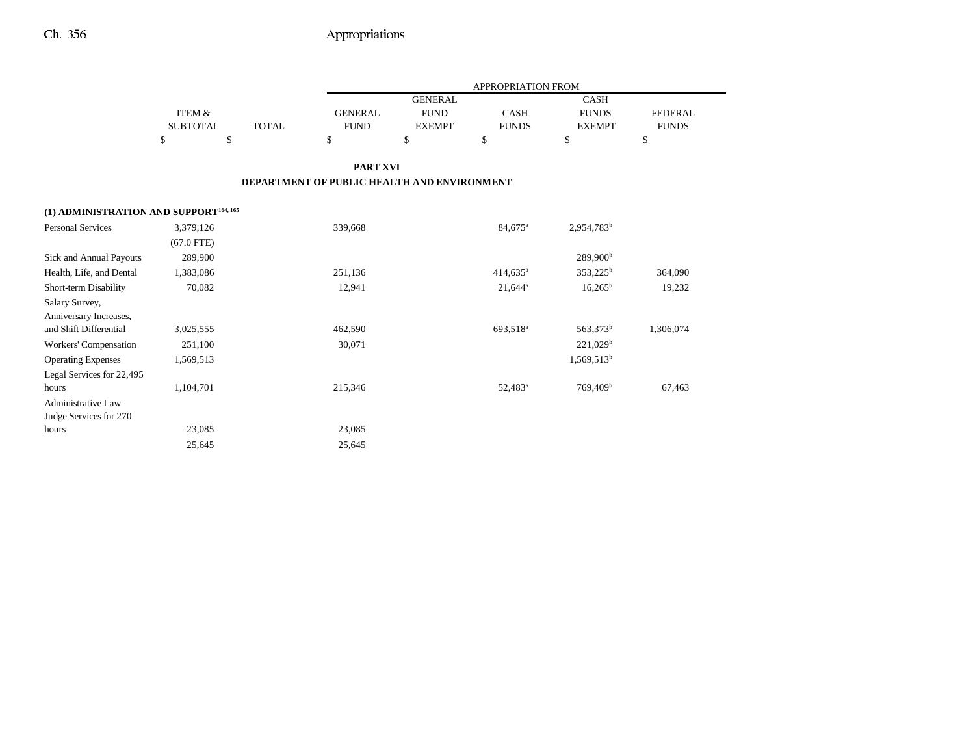|                                                    |                   |              |                                             |                | APPROPRIATION FROM   |                        |                |  |
|----------------------------------------------------|-------------------|--------------|---------------------------------------------|----------------|----------------------|------------------------|----------------|--|
|                                                    |                   |              |                                             | <b>GENERAL</b> |                      | <b>CASH</b>            |                |  |
|                                                    | <b>ITEM &amp;</b> |              | <b>GENERAL</b>                              | <b>FUND</b>    | <b>CASH</b>          | <b>FUNDS</b>           | <b>FEDERAL</b> |  |
|                                                    | <b>SUBTOTAL</b>   | <b>TOTAL</b> | <b>FUND</b>                                 | <b>EXEMPT</b>  | <b>FUNDS</b>         | <b>EXEMPT</b>          | <b>FUNDS</b>   |  |
|                                                    | \$                | \$           | \$                                          | \$             | \$                   | \$                     | \$             |  |
|                                                    |                   |              | <b>PART XVI</b>                             |                |                      |                        |                |  |
|                                                    |                   |              | DEPARTMENT OF PUBLIC HEALTH AND ENVIRONMENT |                |                      |                        |                |  |
| (1) ADMINISTRATION AND SUPPORT <sup>164, 165</sup> |                   |              |                                             |                |                      |                        |                |  |
| <b>Personal Services</b>                           | 3,379,126         |              | 339,668                                     |                | 84,675 <sup>a</sup>  | 2,954,783 <sup>b</sup> |                |  |
|                                                    | $(67.0$ FTE)      |              |                                             |                |                      |                        |                |  |
| <b>Sick and Annual Payouts</b>                     | 289,900           |              |                                             |                |                      | 289,900 <sup>b</sup>   |                |  |
| Health, Life, and Dental                           | 1,383,086         |              | 251,136                                     |                | 414,635 <sup>a</sup> | 353,225 <sup>b</sup>   | 364,090        |  |
| Short-term Disability                              | 70,082            |              | 12,941                                      |                | $21,644^a$           | $16,265^b$             | 19,232         |  |
| Salary Survey,                                     |                   |              |                                             |                |                      |                        |                |  |
| Anniversary Increases,                             |                   |              |                                             |                |                      |                        |                |  |
| and Shift Differential                             | 3,025,555         |              | 462,590                                     |                | 693,518 <sup>a</sup> | 563,373 <sup>b</sup>   | 1,306,074      |  |
| <b>Workers' Compensation</b>                       | 251,100           |              | 30,071                                      |                |                      | $221,029^b$            |                |  |
| <b>Operating Expenses</b>                          | 1,569,513         |              |                                             |                |                      | 1,569,513 <sup>b</sup> |                |  |
| Legal Services for 22,495                          |                   |              |                                             |                |                      |                        |                |  |
| hours                                              | 1,104,701         |              | 215,346                                     |                | 52,483 <sup>a</sup>  | 769,409 <sup>b</sup>   | 67,463         |  |
| <b>Administrative Law</b>                          |                   |              |                                             |                |                      |                        |                |  |
| Judge Services for 270                             |                   |              |                                             |                |                      |                        |                |  |
| hours                                              | 23,085            |              | 23,085                                      |                |                      |                        |                |  |
|                                                    | 25,645            |              | 25,645                                      |                |                      |                        |                |  |
|                                                    |                   |              |                                             |                |                      |                        |                |  |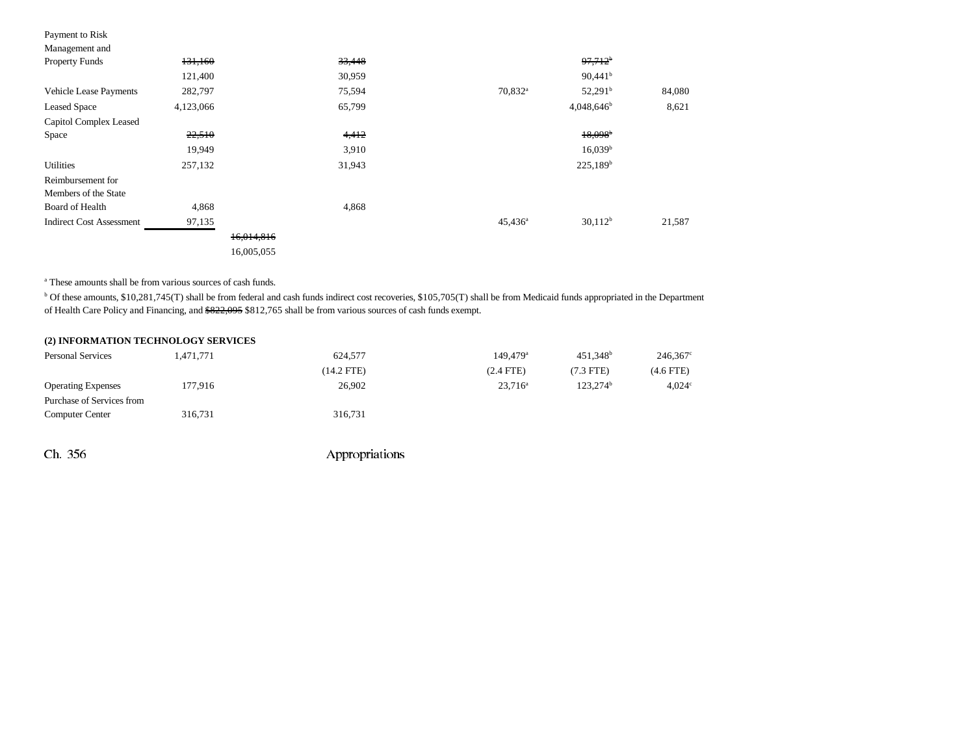| Payment to Risk                 |           |            |        |                     |                       |        |
|---------------------------------|-----------|------------|--------|---------------------|-----------------------|--------|
| Management and                  |           |            |        |                     |                       |        |
| <b>Property Funds</b>           | 131,160   |            | 33,448 |                     | $97,712$ <sup>b</sup> |        |
|                                 | 121,400   |            | 30,959 |                     | $90,441^{\rm b}$      |        |
| <b>Vehicle Lease Payments</b>   | 282,797   |            | 75,594 | 70,832 <sup>a</sup> | $52,291^{\rm b}$      | 84,080 |
| <b>Leased Space</b>             | 4,123,066 |            | 65,799 |                     | $4,048,646^b$         | 8,621  |
| Capitol Complex Leased          |           |            |        |                     |                       |        |
| Space                           | 22,510    |            | 4,412  |                     | $18,098$ <sup>b</sup> |        |
|                                 | 19,949    |            | 3,910  |                     | $16,039^b$            |        |
| <b>Utilities</b>                | 257,132   |            | 31,943 |                     | $225,189^b$           |        |
| Reimbursement for               |           |            |        |                     |                       |        |
| Members of the State            |           |            |        |                     |                       |        |
| Board of Health                 | 4,868     |            | 4,868  |                     |                       |        |
| <b>Indirect Cost Assessment</b> | 97,135    |            |        | $45,436^{\rm a}$    | $30,112^b$            | 21,587 |
|                                 |           | 16,014,816 |        |                     |                       |        |
|                                 |           | 16,005,055 |        |                     |                       |        |

a These amounts shall be from various sources of cash funds.

<sup>b</sup> Of these amounts, \$10,281,745(T) shall be from federal and cash funds indirect cost recoveries, \$105,705(T) shall be from Medicaid funds appropriated in the Department of Health Care Policy and Financing, and \$822,095 \$812,765 shall be from various sources of cash funds exempt.

| (2) INFORMATION TECHNOLOGY SERVICES |  |  |  |  |  |  |
|-------------------------------------|--|--|--|--|--|--|
|-------------------------------------|--|--|--|--|--|--|

| <b>Personal Services</b>  | 1,471,771 | 624,577    | $149.479$ <sup>a</sup> | 451.348 <sup>b</sup> | 246,367         |
|---------------------------|-----------|------------|------------------------|----------------------|-----------------|
|                           |           | (14.2 FTE) | $(2.4$ FTE)            | $(7.3$ FTE)          | (4.6 FTE)       |
| <b>Operating Expenses</b> | 177.916   | 26,902     | $23,716^a$             | 123.274 <sup>b</sup> | $4,024^{\circ}$ |
| Purchase of Services from |           |            |                        |                      |                 |
| <b>Computer Center</b>    | 316,731   | 316.731    |                        |                      |                 |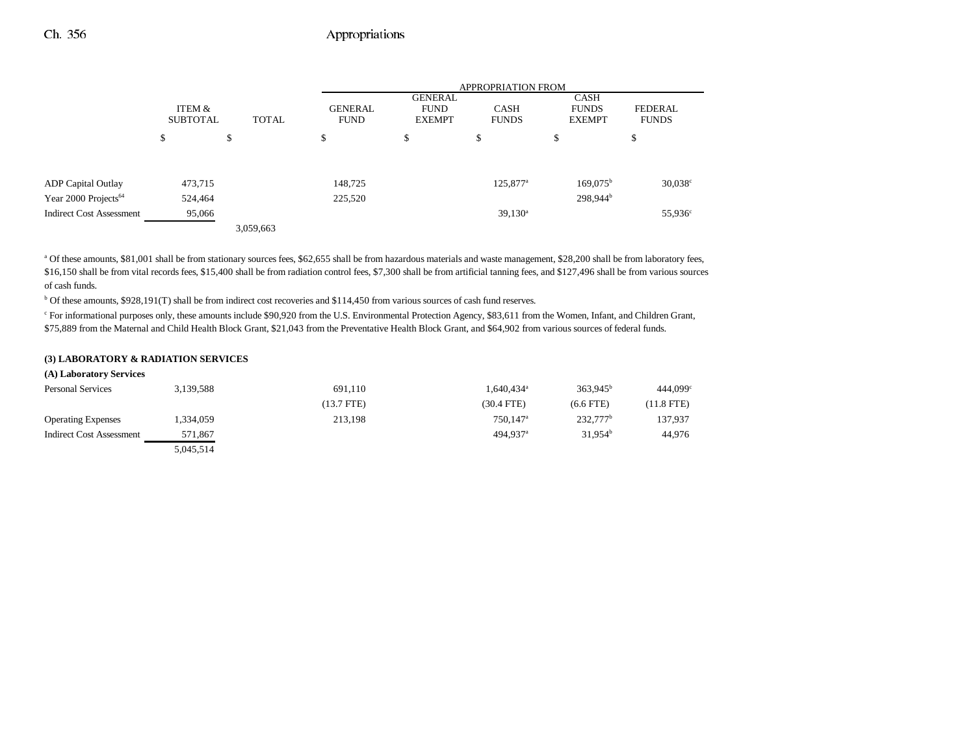|                                  |                           |              |                               |                                                | <b>APPROPRIATION FROM</b>   |                                       |                                |
|----------------------------------|---------------------------|--------------|-------------------------------|------------------------------------------------|-----------------------------|---------------------------------------|--------------------------------|
|                                  | ITEM &<br><b>SUBTOTAL</b> | <b>TOTAL</b> | <b>GENERAL</b><br><b>FUND</b> | <b>GENERAL</b><br><b>FUND</b><br><b>EXEMPT</b> | <b>CASH</b><br><b>FUNDS</b> | CASH<br><b>FUNDS</b><br><b>EXEMPT</b> | <b>FEDERAL</b><br><b>FUNDS</b> |
|                                  | \$                        | \$           | \$                            | \$                                             | \$                          | S                                     | \$                             |
| <b>ADP</b> Capital Outlay        | 473,715                   |              | 148,725                       |                                                | $125,877$ <sup>a</sup>      | $169,075^{\rm b}$                     | $30,038^{\circ}$               |
| Year 2000 Projects <sup>64</sup> | 524,464                   |              | 225,520                       |                                                |                             | 298,944 <sup>b</sup>                  |                                |
| <b>Indirect Cost Assessment</b>  | 95,066                    |              |                               |                                                | $39,130^a$                  |                                       | $55,936^{\circ}$               |
|                                  |                           | 3,059,663    |                               |                                                |                             |                                       |                                |

a Of these amounts, \$81,001 shall be from stationary sources fees, \$62,655 shall be from hazardous materials and waste management, \$28,200 shall be from laboratory fees, \$16,150 shall be from vital records fees, \$15,400 shall be from radiation control fees, \$7,300 shall be from artificial tanning fees, and \$127,496 shall be from various sources of cash funds.

b Of these amounts, \$928,191(T) shall be from indirect cost recoveries and \$114,450 from various sources of cash fund reserves.

c For informational purposes only, these amounts include \$90,920 from the U.S. Environmental Protection Agency, \$83,611 from the Women, Infant, and Children Grant, \$75,889 from the Maternal and Child Health Block Grant, \$21,043 from the Preventative Health Block Grant, and \$64,902 from various sources of federal funds.

#### **(3) LABORATORY & RADIATION SERVICES**

| (A) Laboratory Services         |           |            |                        |                      |                      |
|---------------------------------|-----------|------------|------------------------|----------------------|----------------------|
| <b>Personal Services</b>        | 3,139,588 | 691,110    | 1,640,434 <sup>a</sup> | $363.945^{\rm b}$    | 444,099 <sup>°</sup> |
|                                 |           | (13.7 FTE) | $(30.4$ FTE)           | $(6.6$ FTE)          | (11.8 FTE)           |
| <b>Operating Expenses</b>       | 1,334,059 | 213,198    | 750.147 <sup>a</sup>   | 232.777 <sup>b</sup> | 137,937              |
| <b>Indirect Cost Assessment</b> | 571,867   |            | 494.937 <sup>a</sup>   | $31.954^b$           | 44,976               |
|                                 | 5.045.514 |            |                        |                      |                      |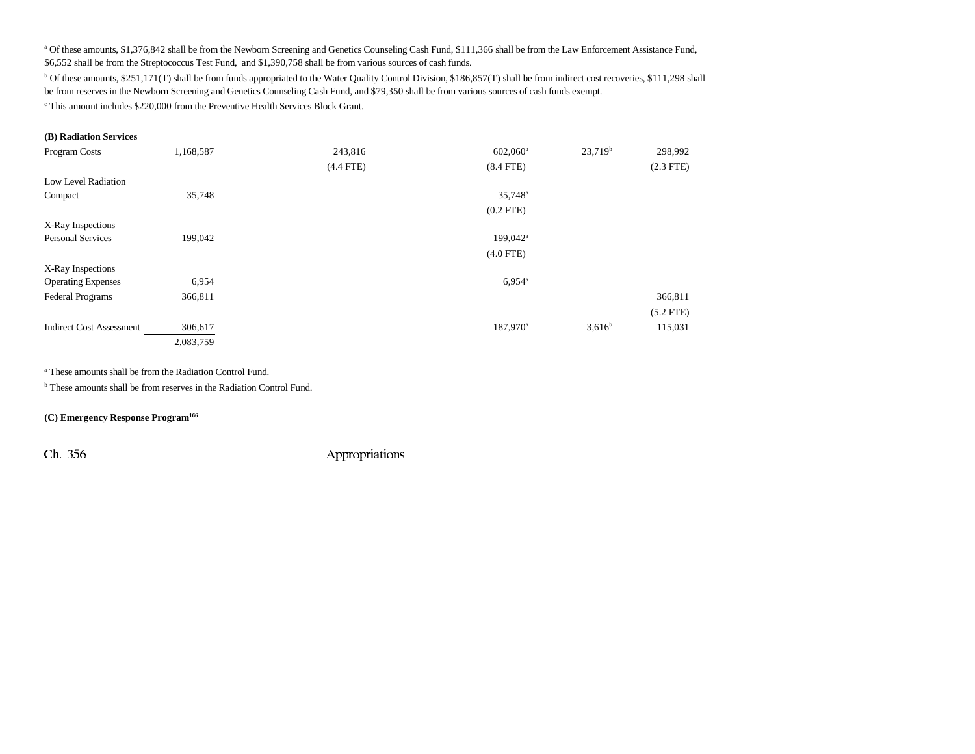<sup>a</sup> Of these amounts, \$1,376,842 shall be from the Newborn Screening and Genetics Counseling Cash Fund, \$111,366 shall be from the Law Enforcement Assistance Fund,

\$6,552 shall be from the Streptococcus Test Fund, and \$1,390,758 shall be from various sources of cash funds.

b Of these amounts, \$251,171(T) shall be from funds appropriated to the Water Quality Control Division, \$186,857(T) shall be from indirect cost recoveries, \$111,298 shall be from reserves in the Newborn Screening and Genetics Counseling Cash Fund, and \$79,350 shall be from various sources of cash funds exempt.

c This amount includes \$220,000 from the Preventive Health Services Block Grant.

#### **(B) Radiation Services**

| Program Costs                   | 1,168,587 | 243,816     | $602,060$ <sup>a</sup> | 23,719 <sup>b</sup> | 298,992     |
|---------------------------------|-----------|-------------|------------------------|---------------------|-------------|
|                                 |           | $(4.4$ FTE) | $(8.4$ FTE)            |                     | $(2.3$ FTE) |
| Low Level Radiation             |           |             |                        |                     |             |
| Compact                         | 35,748    |             | 35,748 <sup>a</sup>    |                     |             |
|                                 |           |             | $(0.2$ FTE)            |                     |             |
| X-Ray Inspections               |           |             |                        |                     |             |
| <b>Personal Services</b>        | 199,042   |             | 199,042 <sup>a</sup>   |                     |             |
|                                 |           |             | $(4.0$ FTE)            |                     |             |
| X-Ray Inspections               |           |             |                        |                     |             |
| <b>Operating Expenses</b>       | 6,954     |             | $6,954^{\circ}$        |                     |             |
| Federal Programs                | 366,811   |             |                        |                     | 366,811     |
|                                 |           |             |                        |                     | $(5.2$ FTE) |
| <b>Indirect Cost Assessment</b> | 306,617   |             | 187,970 <sup>a</sup>   | $3,616^b$           | 115,031     |
|                                 | 2,083,759 |             |                        |                     |             |

a These amounts shall be from the Radiation Control Fund.

b These amounts shall be from reserves in the Radiation Control Fund.

### **(C) Emergency Response Program166**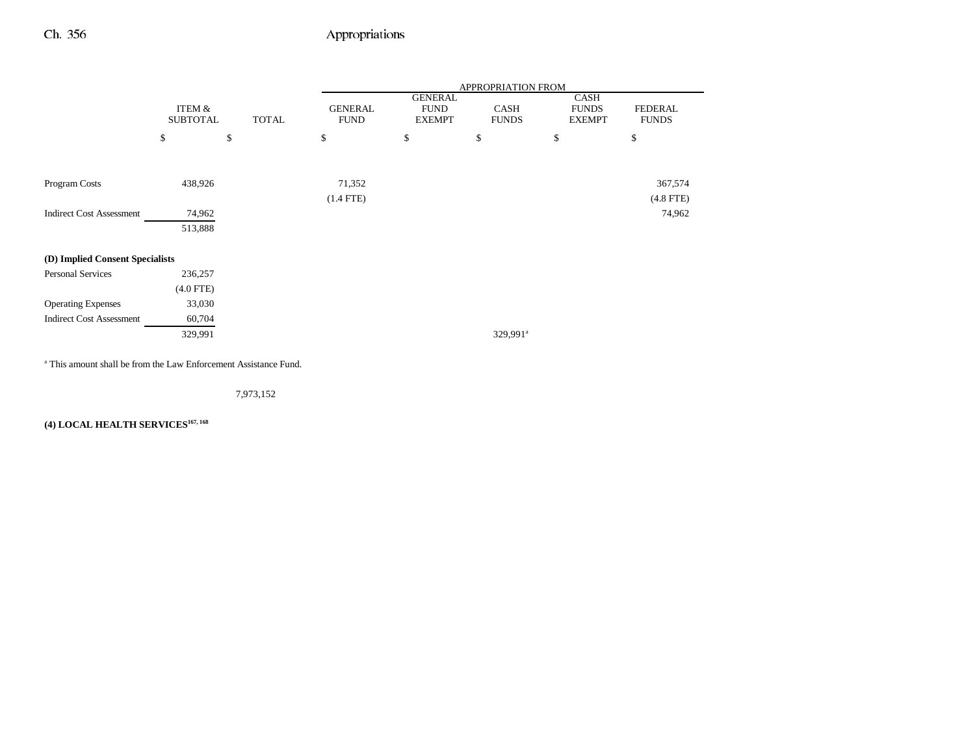|                                 |                           |              | APPROPRIATION FROM            |                                                |                      |                                       |                                |
|---------------------------------|---------------------------|--------------|-------------------------------|------------------------------------------------|----------------------|---------------------------------------|--------------------------------|
|                                 | ITEM &<br><b>SUBTOTAL</b> | <b>TOTAL</b> | <b>GENERAL</b><br><b>FUND</b> | <b>GENERAL</b><br><b>FUND</b><br><b>EXEMPT</b> | CASH<br><b>FUNDS</b> | CASH<br><b>FUNDS</b><br><b>EXEMPT</b> | <b>FEDERAL</b><br><b>FUNDS</b> |
|                                 | \$                        | \$           | \$                            | \$                                             | \$                   | \$                                    | \$                             |
|                                 |                           |              |                               |                                                |                      |                                       |                                |
| Program Costs                   | 438,926                   |              | 71,352                        |                                                |                      |                                       | 367,574                        |
|                                 |                           |              | $(1.4$ FTE)                   |                                                |                      |                                       | $(4.8$ FTE)                    |
| <b>Indirect Cost Assessment</b> | 74,962                    |              |                               |                                                |                      |                                       | 74,962                         |
|                                 | 513,888                   |              |                               |                                                |                      |                                       |                                |
| (D) Implied Consent Specialists |                           |              |                               |                                                |                      |                                       |                                |
| <b>Personal Services</b>        | 236,257                   |              |                               |                                                |                      |                                       |                                |
|                                 | $(4.0$ FTE)               |              |                               |                                                |                      |                                       |                                |
| <b>Operating Expenses</b>       | 33,030                    |              |                               |                                                |                      |                                       |                                |
| <b>Indirect Cost Assessment</b> | 60,704                    |              |                               |                                                |                      |                                       |                                |
|                                 | 329,991                   |              |                               |                                                | 329,991 <sup>a</sup> |                                       |                                |

a This amount shall be from the Law Enforcement Assistance Fund.

7,973,152

**(4) LOCAL HEALTH SERVICES167, 168**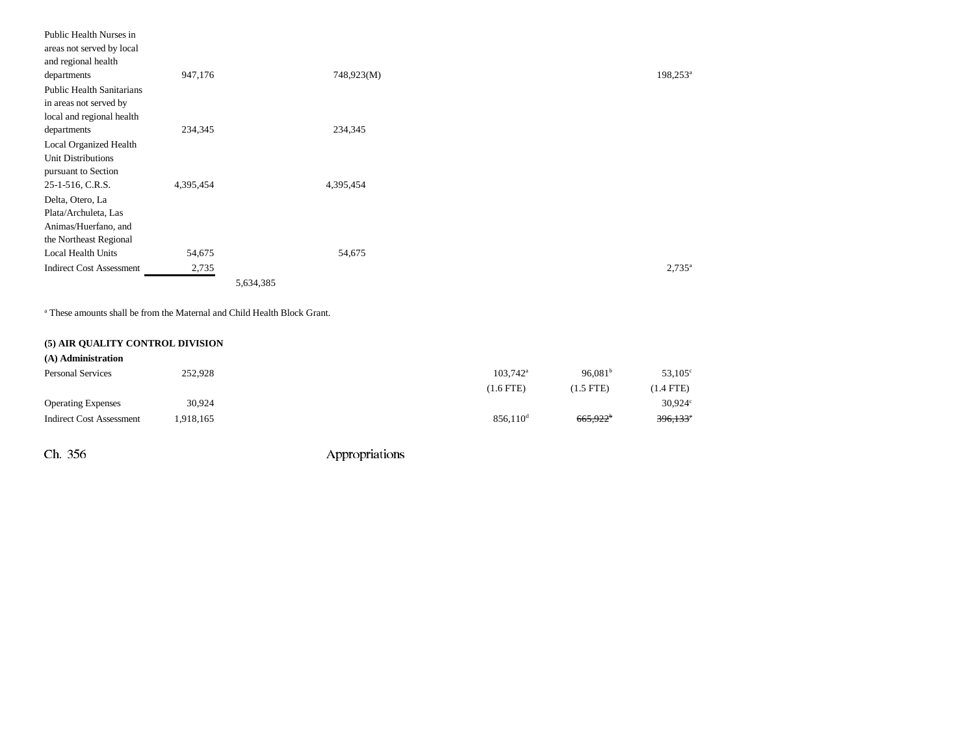| Public Health Nurses in          |           |            |                      |
|----------------------------------|-----------|------------|----------------------|
| areas not served by local        |           |            |                      |
| and regional health              |           |            |                      |
| departments                      | 947,176   | 748,923(M) | 198,253 <sup>a</sup> |
| <b>Public Health Sanitarians</b> |           |            |                      |
| in areas not served by           |           |            |                      |
| local and regional health        |           |            |                      |
| departments                      | 234,345   | 234,345    |                      |
| <b>Local Organized Health</b>    |           |            |                      |
| <b>Unit Distributions</b>        |           |            |                      |
| pursuant to Section              |           |            |                      |
| 25-1-516, C.R.S.                 | 4,395,454 | 4,395,454  |                      |
| Delta, Otero, La                 |           |            |                      |
| Plata/Archuleta, Las             |           |            |                      |
| Animas/Huerfano, and             |           |            |                      |
| the Northeast Regional           |           |            |                      |
| Local Health Units               | 54,675    | 54,675     |                      |
| <b>Indirect Cost Assessment</b>  | 2,735     |            | $2,735^{\circ}$      |
|                                  |           | 5,634,385  |                      |

a These amounts shall be from the Maternal and Child Health Block Grant.

## **(5) AIR QUALITY CONTROL DIVISION**

| (A) Administration              |         |                   |                      |                  |
|---------------------------------|---------|-------------------|----------------------|------------------|
| <b>Personal Services</b>        | 252,928 | $103.742^{\circ}$ | 96.081 <sup>b</sup>  | $53,105^{\circ}$ |
|                                 |         | $(1.6$ FTE)       | (1.5 FTE)            | $(1.4$ FTE)      |
| <b>Operating Expenses</b>       | 30,924  |                   |                      | $30,924^\circ$   |
| <b>Indirect Cost Assessment</b> | 918,165 | $856.110^{\rm d}$ | 665,922 <sup>b</sup> | $396,133$ °      |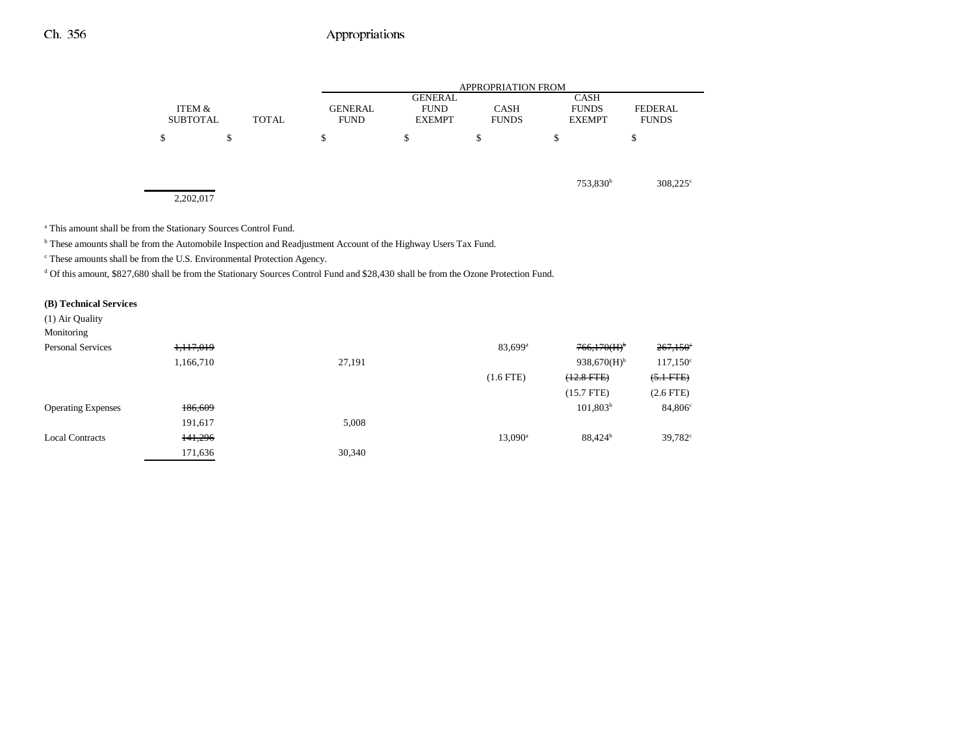|                           |                                               |                                                | <b>APPROPRIATION FROM</b>   |                                              |                                |
|---------------------------|-----------------------------------------------|------------------------------------------------|-----------------------------|----------------------------------------------|--------------------------------|
| ITEM &<br><b>SUBTOTAL</b> | <b>GENERAL</b><br><b>TOTAL</b><br><b>FUND</b> | <b>GENERAL</b><br><b>FUND</b><br><b>EXEMPT</b> | <b>CASH</b><br><b>FUNDS</b> | <b>CASH</b><br><b>FUNDS</b><br><b>EXEMPT</b> | <b>FEDERAL</b><br><b>FUNDS</b> |
| \$                        | \$<br>S                                       | \$                                             | \$                          | \$                                           | ¢<br>Φ                         |
|                           |                                               |                                                |                             | 753,830 <sup>b</sup>                         | $308,225^{\circ}$              |
| 2,202,017                 |                                               |                                                |                             |                                              |                                |

a This amount shall be from the Stationary Sources Control Fund.

b These amounts shall be from the Automobile Inspection and Readjustment Account of the Highway Users Tax Fund.

c These amounts shall be from the U.S. Environmental Protection Agency.

<sup>d</sup> Of this amount, \$827,680 shall be from the Stationary Sources Control Fund and \$28,430 shall be from the Ozone Protection Fund.

#### **(B) Technical Services**

| (1) Air Quality<br>Monitoring |           |        |                     |                     |                     |
|-------------------------------|-----------|--------|---------------------|---------------------|---------------------|
| <b>Personal Services</b>      | 1,117,019 |        | 83,699 <sup>a</sup> | 766,170(H)          | 267,150             |
|                               | 1,166,710 | 27,191 |                     | 938,670 $(H)^b$     | 117,150             |
|                               |           |        | $(1.6$ FTE)         | $(12.8$ FTE $)$     | $(5.1 FTE)$         |
|                               |           |        |                     | (15.7 FTE)          | $(2.6$ FTE $)$      |
| <b>Operating Expenses</b>     | 186,609   |        |                     | $101,803^b$         | 84,806              |
|                               | 191,617   | 5,008  |                     |                     |                     |
| <b>Local Contracts</b>        | 141,296   |        | 13,090 <sup>a</sup> | 88,424 <sup>b</sup> | 39,782 <sup>c</sup> |
|                               | 171,636   | 30,340 |                     |                     |                     |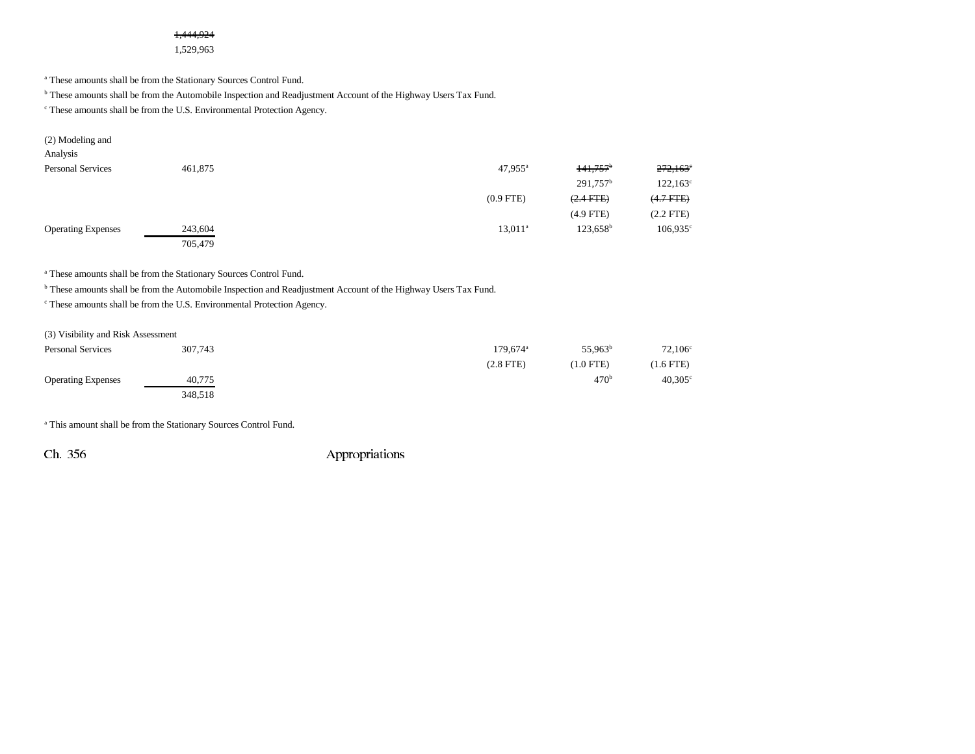### 1,444,924

1,529,963

a These amounts shall be from the Stationary Sources Control Fund.

b These amounts shall be from the Automobile Inspection and Readjustment Account of the Highway Users Tax Fund.

c These amounts shall be from the U.S. Environmental Protection Agency.

| (2) Modeling and          |         |                  |                        |                        |
|---------------------------|---------|------------------|------------------------|------------------------|
| Analysis                  |         |                  |                        |                        |
| <b>Personal Services</b>  | 461,875 | $47.955^{\rm a}$ | $141.757$ <sup>b</sup> | $272,163$ <sup>e</sup> |
|                           |         |                  | $291,757$ <sup>b</sup> | $122,163^{\circ}$      |
|                           |         | $(0.9$ FTE)      | $(2.4 \text{ FFE})$    | $(4.7$ FTE)            |
|                           |         |                  | $(4.9$ FTE)            | $(2.2$ FTE)            |
| <b>Operating Expenses</b> | 243,604 | $13,011^a$       | $123,658^{\rm b}$      | $106,935^{\circ}$      |
|                           | 705,479 |                  |                        |                        |

a These amounts shall be from the Stationary Sources Control Fund.

b These amounts shall be from the Automobile Inspection and Readjustment Account of the Highway Users Tax Fund.

c These amounts shall be from the U.S. Environmental Protection Agency.

#### (3) Visibility and Risk Assessment

| <b>Personal Services</b>  | 307,743 | $179.674$ <sup>a</sup> | 55,963 <sup>b</sup> | $72,106^{\circ}$ |
|---------------------------|---------|------------------------|---------------------|------------------|
|                           |         | $(2.8$ FTE)            | $(1.0$ FTE)         | $(1.6$ FTE)      |
| <b>Operating Expenses</b> | 40,775  |                        | 470 <sup>b</sup>    | $40,305^{\circ}$ |
|                           | 348,518 |                        |                     |                  |

a This amount shall be from the Stationary Sources Control Fund.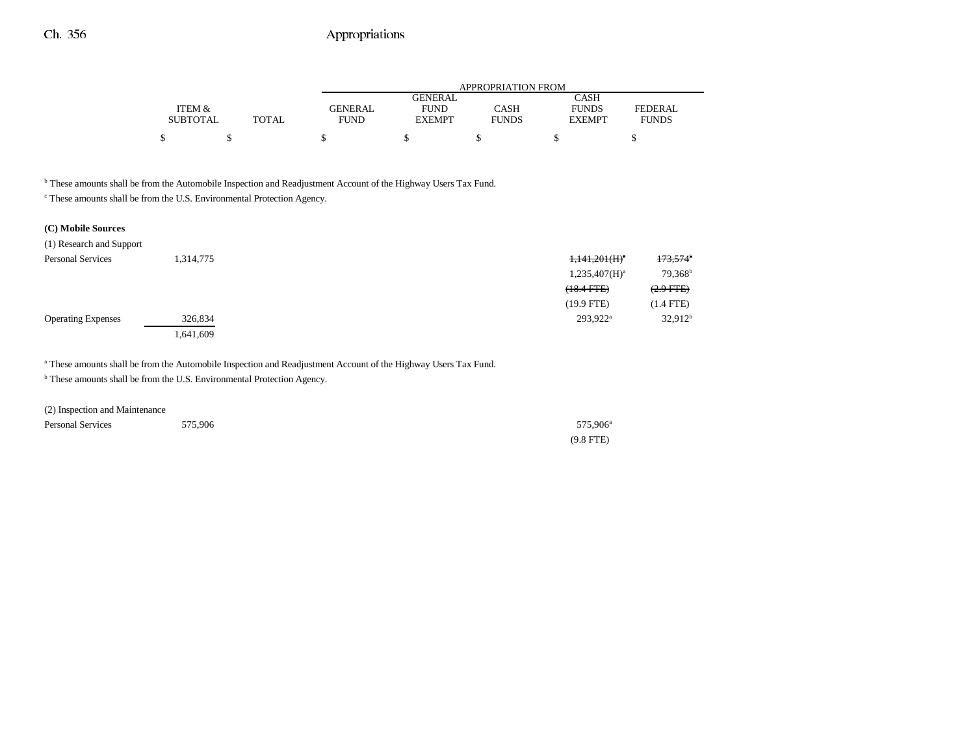|                 |              | APPROPRIATION FROM |               |              |               |                |  |  |
|-----------------|--------------|--------------------|---------------|--------------|---------------|----------------|--|--|
|                 |              |                    | GENERAL       |              | CASH          |                |  |  |
| ITEM &          |              | <b>GENERAL</b>     | <b>FUND</b>   | CASH         | <b>FUNDS</b>  | <b>FEDERAL</b> |  |  |
| <b>SUBTOTAL</b> | <b>TOTAL</b> | FUND               | <b>EXEMPT</b> | <b>FUNDS</b> | <b>EXEMPT</b> | <b>FUNDS</b>   |  |  |
| \$              |              |                    |               |              |               |                |  |  |

b These amounts shall be from the Automobile Inspection and Readjustment Account of the Highway Users Tax Fund.

c These amounts shall be from the U.S. Environmental Protection Agency.

### **(C) Mobile Sources**

| (1) Research and Support  |           |                              |                        |
|---------------------------|-----------|------------------------------|------------------------|
| <b>Personal Services</b>  | 1,314,775 | $1,141,201$ (H) <sup>a</sup> | $173,574$ <sup>b</sup> |
|                           |           | $1,235,407(H)^a$             | 79,368 <sup>b</sup>    |
|                           |           | $(18.4$ FTE $)$              | $(2.9$ FTE $)$         |
|                           |           | $(19.9$ FTE)                 | $(1.4$ FTE)            |
| <b>Operating Expenses</b> | 326,834   | 293,922 <sup>a</sup>         | 32.912 <sup>b</sup>    |
|                           | 1,641,609 |                              |                        |

a These amounts shall be from the Automobile Inspection and Readjustment Account of the Highway Users Tax Fund.

<sup>b</sup> These amounts shall be from the U.S. Environmental Protection Agency.

| (2) Inspection and Maintenance |         |                      |
|--------------------------------|---------|----------------------|
| <b>Personal Services</b>       | 575,906 | 575.906 <sup>a</sup> |
|                                |         | $(9.8$ FTE)          |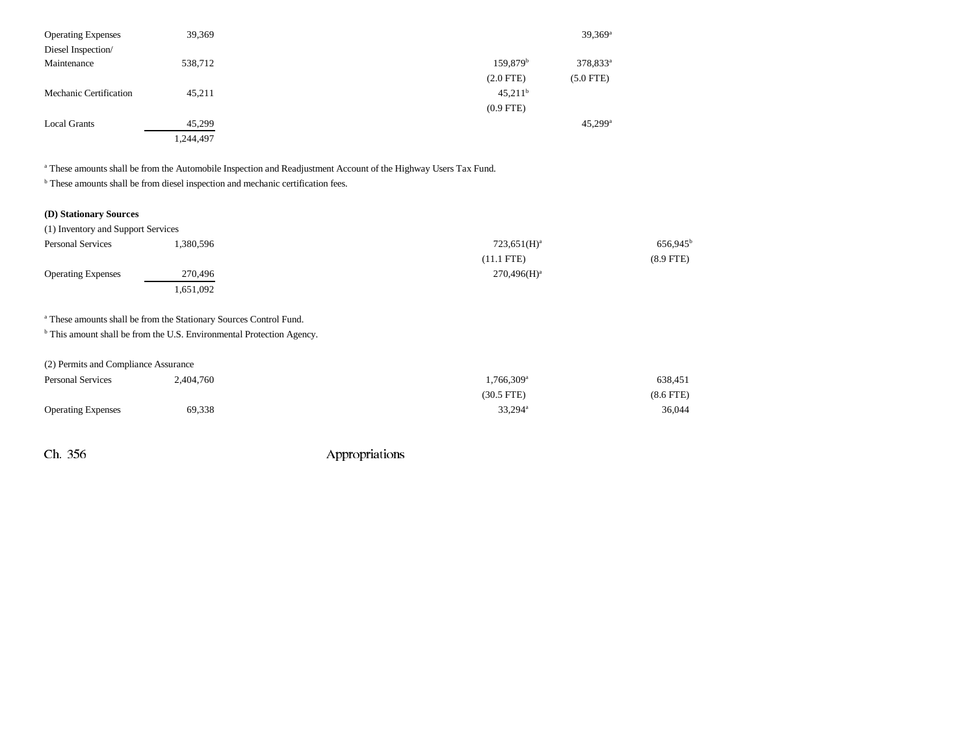| <b>Operating Expenses</b> | 39,369    |                        | $39,369^{\rm a}$      |
|---------------------------|-----------|------------------------|-----------------------|
| Diesel Inspection/        |           |                        |                       |
| Maintenance               | 538,712   | $159,879$ <sup>b</sup> | 378,833 <sup>a</sup>  |
|                           |           | $(2.0$ FTE)            | $(5.0$ FTE)           |
| Mechanic Certification    | 45,211    | $45,211^b$             |                       |
|                           |           | $(0.9$ FTE)            |                       |
| <b>Local Grants</b>       | 45,299    |                        | $45,299$ <sup>a</sup> |
|                           | 1,244,497 |                        |                       |

a These amounts shall be from the Automobile Inspection and Readjustment Account of the Highway Users Tax Fund.

 $^{\rm b}$  These amounts shall be from diesel inspection and mechanic certification fees.

## **(D) Stationary Sources**

| (1) Inventory and Support Services |           |                |                      |
|------------------------------------|-----------|----------------|----------------------|
| <b>Personal Services</b>           | 1.380.596 | $723,651(H)^a$ | 656,945 <sup>b</sup> |
|                                    |           | $(11.1$ FTE)   | $(8.9$ FTE)          |
| <b>Operating Expenses</b>          | 270,496   | $270.496(H)^a$ |                      |
|                                    | .651,092  |                |                      |

## a These amounts shall be from the Stationary Sources Control Fund.

**b** This amount shall be from the U.S. Environmental Protection Agency.

| (2) Permits and Compliance Assurance |  |  |  |  |  |
|--------------------------------------|--|--|--|--|--|
|--------------------------------------|--|--|--|--|--|

| <b>Personal Services</b>  | 2.404.760 | $1.766.309$ <sup>a</sup> | 638,451        |
|---------------------------|-----------|--------------------------|----------------|
|                           |           | (30.5 FTE)               | $(8.6$ FTE $)$ |
| <b>Operating Expenses</b> | 69,338    | $33,294^{\rm a}$         | 36.044         |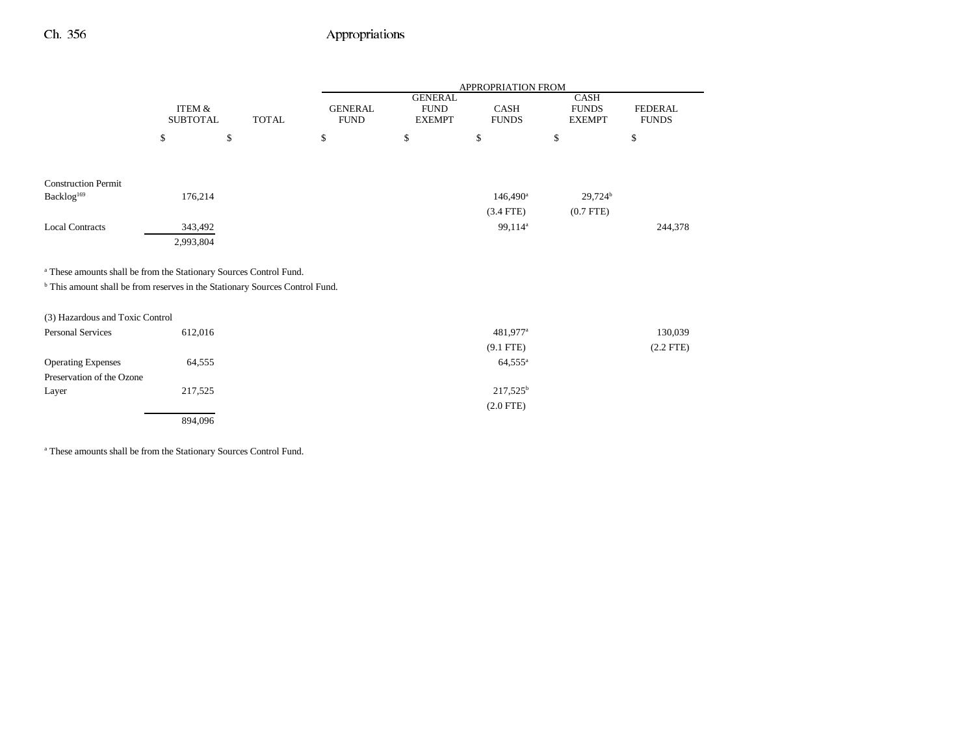|                                                                                         |                           |              |                               |                                                | APPROPRIATION FROM   |                                       |                                |
|-----------------------------------------------------------------------------------------|---------------------------|--------------|-------------------------------|------------------------------------------------|----------------------|---------------------------------------|--------------------------------|
|                                                                                         | ITEM &<br><b>SUBTOTAL</b> | <b>TOTAL</b> | <b>GENERAL</b><br><b>FUND</b> | <b>GENERAL</b><br><b>FUND</b><br><b>EXEMPT</b> | CASH<br><b>FUNDS</b> | CASH<br><b>FUNDS</b><br><b>EXEMPT</b> | <b>FEDERAL</b><br><b>FUNDS</b> |
|                                                                                         | \$                        | \$           | \$                            | \$                                             | \$                   | \$                                    | \$                             |
|                                                                                         |                           |              |                               |                                                |                      |                                       |                                |
| <b>Construction Permit</b>                                                              |                           |              |                               |                                                |                      |                                       |                                |
| Backlog <sup>169</sup>                                                                  | 176,214                   |              |                               |                                                | $146,490^{\circ}$    | 29,724 <sup>b</sup>                   |                                |
|                                                                                         |                           |              |                               |                                                | $(3.4$ FTE)          | $(0.7$ FTE)                           |                                |
| <b>Local Contracts</b>                                                                  | 343,492                   |              |                               |                                                | 99,114 <sup>a</sup>  |                                       | 244,378                        |
|                                                                                         | 2,993,804                 |              |                               |                                                |                      |                                       |                                |
|                                                                                         |                           |              |                               |                                                |                      |                                       |                                |
| <sup>a</sup> These amounts shall be from the Stationary Sources Control Fund.           |                           |              |                               |                                                |                      |                                       |                                |
| <sup>b</sup> This amount shall be from reserves in the Stationary Sources Control Fund. |                           |              |                               |                                                |                      |                                       |                                |
|                                                                                         |                           |              |                               |                                                |                      |                                       |                                |
| (3) Hazardous and Toxic Control                                                         |                           |              |                               |                                                |                      |                                       |                                |
| Personal Services                                                                       | 612,016                   |              |                               |                                                | 481,977 <sup>a</sup> |                                       | 130,039                        |
|                                                                                         |                           |              |                               |                                                | $(9.1$ FTE)          |                                       | $(2.2$ FTE $)$                 |
| <b>Operating Expenses</b>                                                               | 64,555                    |              |                               |                                                | $64,555^{\circ}$     |                                       |                                |
| Preservation of the Ozone                                                               |                           |              |                               |                                                |                      |                                       |                                |
| Layer                                                                                   | 217,525                   |              |                               |                                                | $217,525^b$          |                                       |                                |
|                                                                                         |                           |              |                               |                                                | $(2.0$ FTE)          |                                       |                                |
|                                                                                         | 894,096                   |              |                               |                                                |                      |                                       |                                |

a These amounts shall be from the Stationary Sources Control Fund.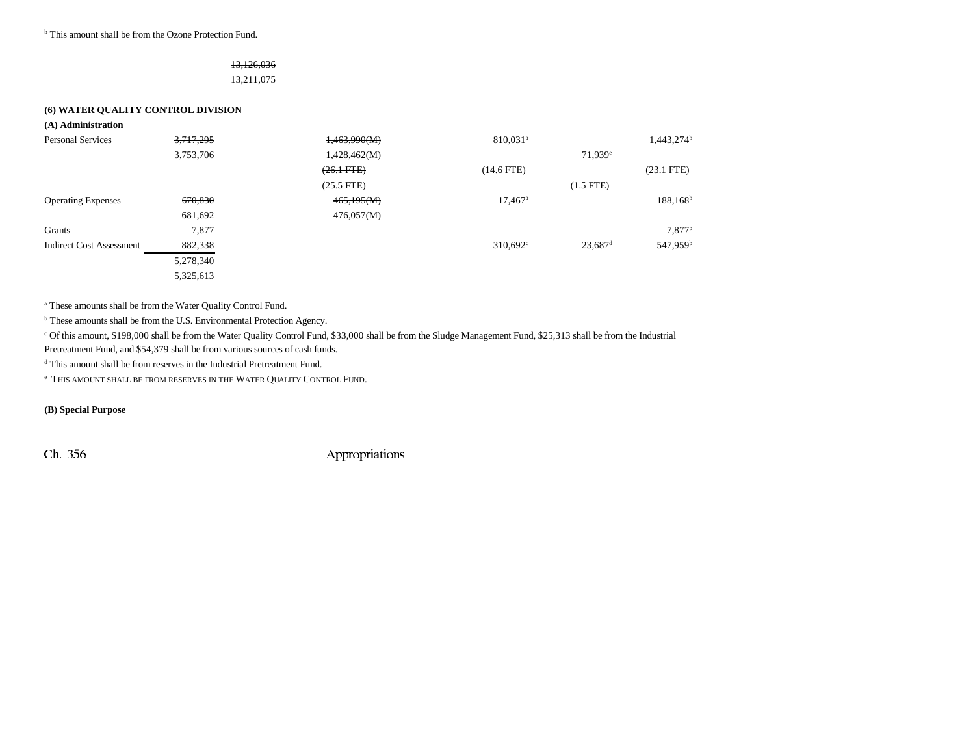<sup>b</sup> This amount shall be from the Ozone Protection Fund.

## 13,126,036 13,211,075

#### **(6) WATER QUALITY CONTROL DIVISION**

| (A) Administration              |           |                 |                        |                       |                      |
|---------------------------------|-----------|-----------------|------------------------|-----------------------|----------------------|
| <b>Personal Services</b>        | 3,717,295 | 1,463,990(M)    | $810.031$ <sup>a</sup> |                       | $1,443,274^b$        |
|                                 | 3,753,706 | 1,428,462(M)    |                        | 71,939 <sup>e</sup>   |                      |
|                                 |           | $(26.1$ FTE $)$ | $(14.6$ FTE)           |                       | $(23.1$ FTE)         |
|                                 |           | $(25.5$ FTE)    |                        | $(1.5$ FTE $)$        |                      |
| <b>Operating Expenses</b>       | 670,830   | 465,195(M)      | $17,467$ <sup>a</sup>  |                       | $188, 168^b$         |
|                                 | 681,692   | 476,057(M)      |                        |                       |                      |
| Grants                          | 7,877     |                 |                        |                       | 7,877 <sup>b</sup>   |
| <b>Indirect Cost Assessment</b> | 882,338   |                 | $310.692^{\circ}$      | $23,687$ <sup>d</sup> | 547,959 <sup>b</sup> |
|                                 | 5,278,340 |                 |                        |                       |                      |
|                                 | 5,325,613 |                 |                        |                       |                      |

a These amounts shall be from the Water Quality Control Fund.

b These amounts shall be from the U.S. Environmental Protection Agency.

c Of this amount, \$198,000 shall be from the Water Quality Control Fund, \$33,000 shall be from the Sludge Management Fund, \$25,313 shall be from the Industrial

Pretreatment Fund, and \$54,379 shall be from various sources of cash funds.

d This amount shall be from reserves in the Industrial Pretreatment Fund.

 $\text{}^{\text{e}}$  This amount shall be from reserves in the Water Quality Control Fund.

**(B) Special Purpose**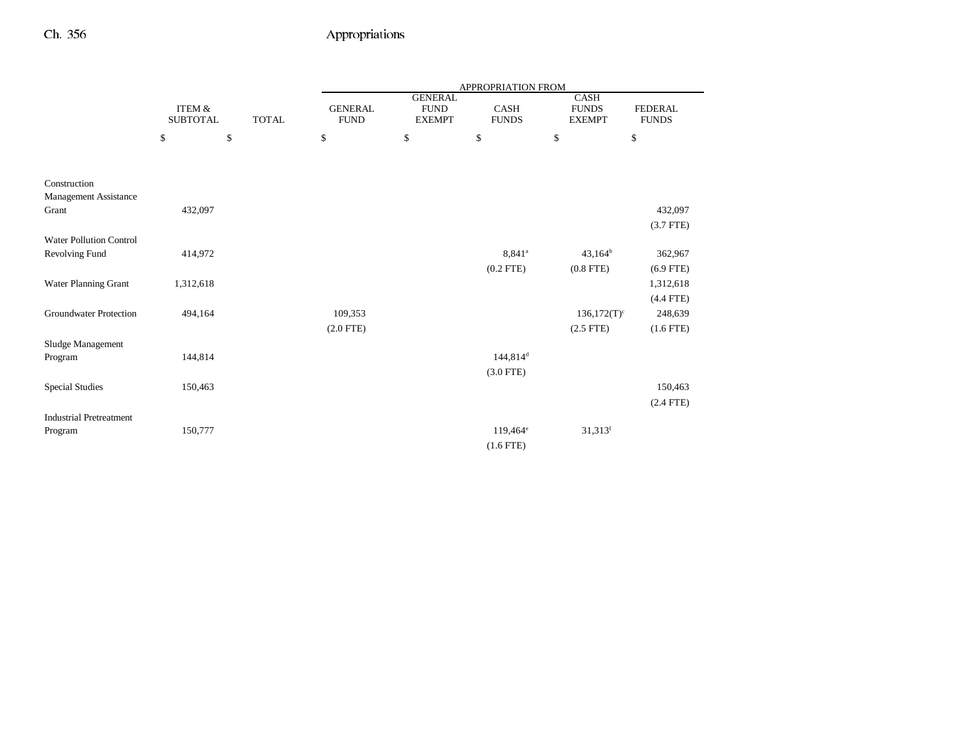|                                       |                                      |              | APPROPRIATION FROM            |                                                |                             |                                              |                                |  |
|---------------------------------------|--------------------------------------|--------------|-------------------------------|------------------------------------------------|-----------------------------|----------------------------------------------|--------------------------------|--|
|                                       | <b>ITEM &amp;</b><br><b>SUBTOTAL</b> | <b>TOTAL</b> | <b>GENERAL</b><br><b>FUND</b> | <b>GENERAL</b><br><b>FUND</b><br><b>EXEMPT</b> | <b>CASH</b><br><b>FUNDS</b> | <b>CASH</b><br><b>FUNDS</b><br><b>EXEMPT</b> | <b>FEDERAL</b><br><b>FUNDS</b> |  |
|                                       | \$                                   | $\mathbb{S}$ | \$                            | \$                                             | \$                          | \$                                           | \$                             |  |
|                                       |                                      |              |                               |                                                |                             |                                              |                                |  |
| Construction<br>Management Assistance |                                      |              |                               |                                                |                             |                                              |                                |  |
| Grant                                 | 432,097                              |              |                               |                                                |                             |                                              | 432,097                        |  |
|                                       |                                      |              |                               |                                                |                             |                                              | $(3.7$ FTE)                    |  |
| <b>Water Pollution Control</b>        |                                      |              |                               |                                                |                             |                                              |                                |  |
| Revolving Fund                        | 414,972                              |              |                               |                                                | 8,841 <sup>a</sup>          | $43,164^b$                                   | 362,967                        |  |
|                                       |                                      |              |                               |                                                | $(0.2$ FTE)                 | $(0.8$ FTE)                                  | $(6.9$ FTE)                    |  |
| Water Planning Grant                  | 1,312,618                            |              |                               |                                                |                             |                                              | 1,312,618                      |  |
|                                       |                                      |              |                               |                                                |                             |                                              | $(4.4$ FTE)                    |  |
| <b>Groundwater Protection</b>         | 494,164                              |              | 109,353                       |                                                |                             | $136,172(T)^c$                               | 248,639                        |  |
|                                       |                                      |              | $(2.0$ FTE)                   |                                                |                             | $(2.5$ FTE)                                  | $(1.6$ FTE $)$                 |  |
| Sludge Management                     |                                      |              |                               |                                                |                             |                                              |                                |  |
| Program                               | 144,814                              |              |                               |                                                | 144,814 <sup>d</sup>        |                                              |                                |  |
|                                       |                                      |              |                               |                                                | $(3.0$ FTE)                 |                                              |                                |  |
| <b>Special Studies</b>                | 150,463                              |              |                               |                                                |                             |                                              | 150,463                        |  |
|                                       |                                      |              |                               |                                                |                             |                                              | $(2.4$ FTE)                    |  |
| <b>Industrial Pretreatment</b>        |                                      |              |                               |                                                |                             |                                              |                                |  |
| Program                               | 150,777                              |              |                               |                                                | $119,464^e$                 | $31,313$ <sup>f</sup>                        |                                |  |
|                                       |                                      |              |                               |                                                | $(1.6$ FTE)                 |                                              |                                |  |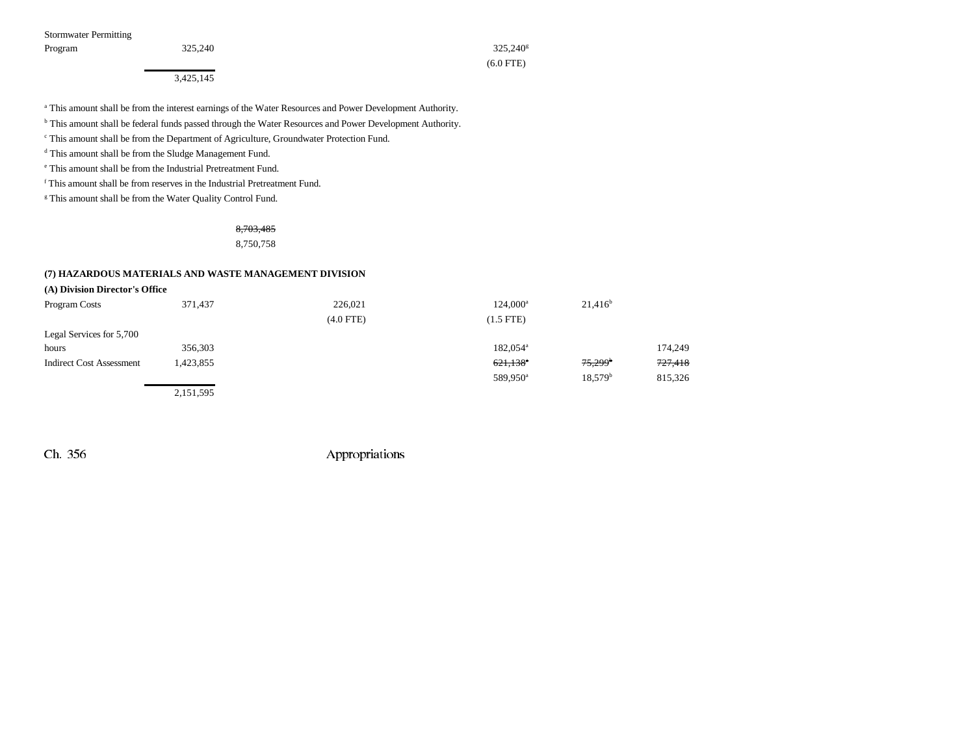Stormwater Permitting

3,425,145

Program  $325{,}240$   $325{,}240$ (6.0 FTE)

a This amount shall be from the interest earnings of the Water Resources and Power Development Authority.

b This amount shall be federal funds passed through the Water Resources and Power Development Authority.

c This amount shall be from the Department of Agriculture, Groundwater Protection Fund.

d This amount shall be from the Sludge Management Fund.

e This amount shall be from the Industrial Pretreatment Fund.

f This amount shall be from reserves in the Industrial Pretreatment Fund.

<sup>g</sup> This amount shall be from the Water Quality Control Fund.

8,703,485

8,750,758

#### **(7) HAZARDOUS MATERIALS AND WASTE MANAGEMENT DIVISION**

#### **(A) Division Director's Office**

| Program Costs                   | 371,437       | 226,021        | $124,000^a$            | $21,416^b$            |         |
|---------------------------------|---------------|----------------|------------------------|-----------------------|---------|
|                                 |               | $(4.0$ FTE $)$ | $(1.5$ FTE)            |                       |         |
| Legal Services for 5,700        |               |                |                        |                       |         |
| hours                           | 356,303       |                | $182.054^{\circ}$      |                       | 174,249 |
| <b>Indirect Cost Assessment</b> | 1,423,855     |                | $621,138$ <sup>a</sup> | $75,299$ <sup>b</sup> | 727,418 |
|                                 |               |                | 589,950 <sup>a</sup>   | 18.579 <sup>b</sup>   | 815,326 |
|                                 | - - - - - - - |                |                        |                       |         |

2,151,595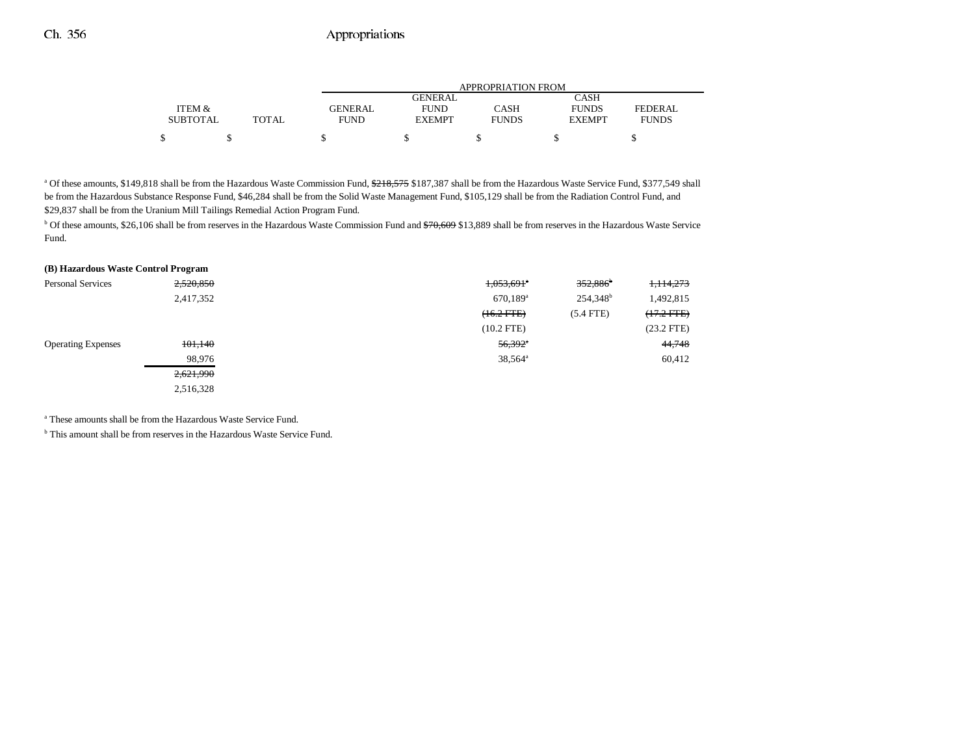|                 |       | APPROPRIATION FROM |                |              |               |              |
|-----------------|-------|--------------------|----------------|--------------|---------------|--------------|
|                 |       |                    | <b>GENERAL</b> |              | <b>CASH</b>   |              |
| ITEM &          |       | GENERAL            | <b>FUND</b>    | CASH         | <b>FUNDS</b>  | FEDERAL      |
| <b>SUBTOTAL</b> | TOTAL | <b>FUND</b>        | <b>EXEMPT</b>  | <b>FUNDS</b> | <b>EXEMPT</b> | <b>FUNDS</b> |
|                 |       |                    |                |              |               |              |

<sup>a</sup> Of these amounts, \$149,818 shall be from the Hazardous Waste Commission Fund, \$218,575 \$187,387 shall be from the Hazardous Waste Service Fund, \$377,549 shall be from the Hazardous Substance Response Fund, \$46,284 shall be from the Solid Waste Management Fund, \$105,129 shall be from the Radiation Control Fund, and \$29,837 shall be from the Uranium Mill Tailings Remedial Action Program Fund.

<sup>b</sup> Of these amounts, \$26,106 shall be from reserves in the Hazardous Waste Commission Fund and <del>\$70,609</del> \$13,889 shall be from reserves in the Hazardous Waste Service Fund.

| (B) Hazardous Waste Control Program |           |                          |                        |              |
|-------------------------------------|-----------|--------------------------|------------------------|--------------|
| <b>Personal Services</b>            | 2,520,850 | $1,053,691$ <sup>*</sup> | $352,886$ <sup>b</sup> | 1,114,273    |
|                                     | 2,417,352 | $670,189$ <sup>a</sup>   | 254,348 <sup>b</sup>   | 1,492,815    |
|                                     |           | $(16.2$ FTE $)$          | $(5.4$ FTE)            | $(17.2$ FTE  |
|                                     |           | $(10.2$ FTE)             |                        | $(23.2$ FTE) |
| <b>Operating Expenses</b>           | 101,140   | $56,392$ <sup>*</sup>    |                        | 44,748       |
|                                     | 98,976    | 38,564 <sup>a</sup>      |                        | 60,412       |
|                                     | 2,621,990 |                          |                        |              |
|                                     | 2,516,328 |                          |                        |              |
|                                     |           |                          |                        |              |

a These amounts shall be from the Hazardous Waste Service Fund.

<sup>b</sup> This amount shall be from reserves in the Hazardous Waste Service Fund.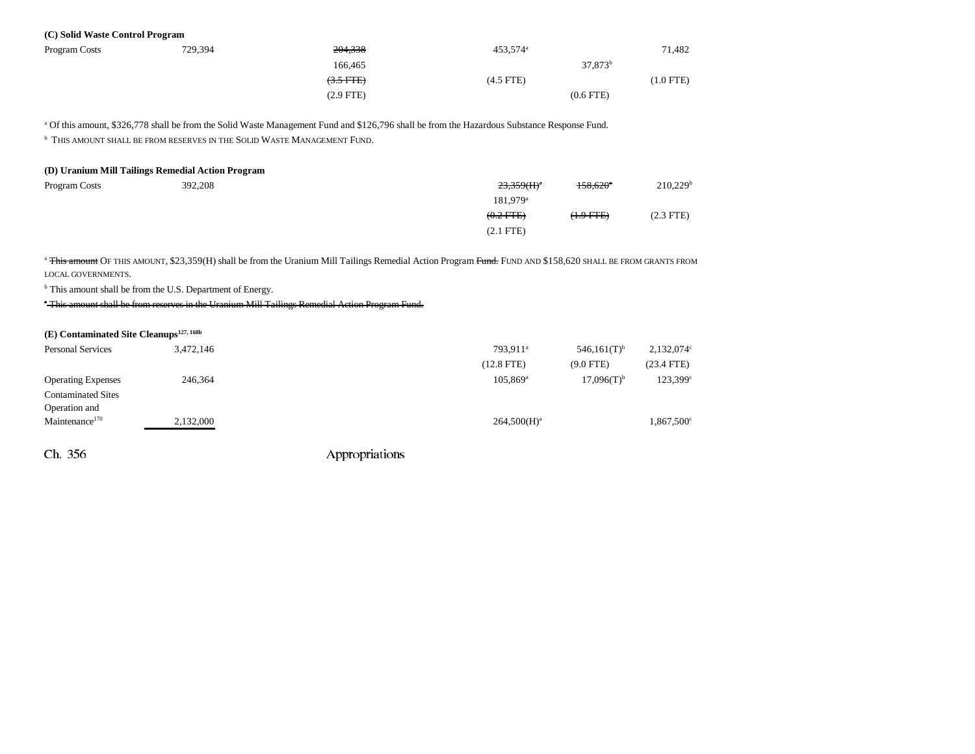#### **(C) Solid Waste Control Program**

| Program Costs | 729,394 | 204,338     | 453,574 <sup>a</sup> |                     | 71,482    |
|---------------|---------|-------------|----------------------|---------------------|-----------|
|               |         | 166.465     |                      | 37,873 <sup>b</sup> |           |
|               |         | $(3.5$ FTE) | $(4.5$ FTE)          |                     | (1.0 FTE) |
|               |         | (2.9 FTE)   |                      | $(0.6$ FTE $)$      |           |

a Of this amount, \$326,778 shall be from the Solid Waste Management Fund and \$126,796 shall be from the Hazardous Substance Response Fund.

**b** This amount shall be from reserves in the Solid Waste Management Fund.

| (D) Uranium Mill Tailings Remedial Action Program |         |                           |                   |                        |  |  |
|---------------------------------------------------|---------|---------------------------|-------------------|------------------------|--|--|
| Program Costs                                     | 392.208 | $23,359$ (H) <sup>a</sup> | $158.620^{\circ}$ | $210,229$ <sup>t</sup> |  |  |
|                                                   |         | 181.979 <sup>a</sup>      |                   |                        |  |  |
|                                                   |         | $(0.2$ FTE)               | $(1.9$ FTE)       | $(2.3$ FTE)            |  |  |
|                                                   |         | $(2.1$ FTE)               |                   |                        |  |  |

<sup>a</sup> This amount OF THIS AMOUNT, \$23,359(H) shall be from the Uranium Mill Tailings Remedial Action Program Fund. FUND AND \$158,620 SHALL BE FROM GRANTS FROM LOCAL GOVERNMENTS.

<sup>b</sup> This amount shall be from the U.S. Department of Energy.

c This amount shall be from reserves in the Uranium Mill Tailings Remedial Action Program Fund.

| $(E)$ Contaminated Site Cleanups <sup>127, 168b</sup> |           |                                                   |                   |
|-------------------------------------------------------|-----------|---------------------------------------------------|-------------------|
| <b>Personal Services</b>                              | 3,472,146 | $546,161(T)$ <sup>b</sup><br>793.911 <sup>a</sup> | 2,132,074°        |
|                                                       |           | $(12.8$ FTE)<br>$(9.0$ FTE)                       | $(23.4$ FTE)      |
| <b>Operating Expenses</b>                             | 246,364   | $17,096(T)$ <sup>b</sup><br>$105,869^{\rm a}$     | $123,399^{\circ}$ |
| <b>Contaminated Sites</b>                             |           |                                                   |                   |
| Operation and                                         |           |                                                   |                   |
| Maintenance <sup>170</sup>                            | 2,132,000 | $264,500(H)^a$                                    | 1,867,500°        |
|                                                       |           |                                                   |                   |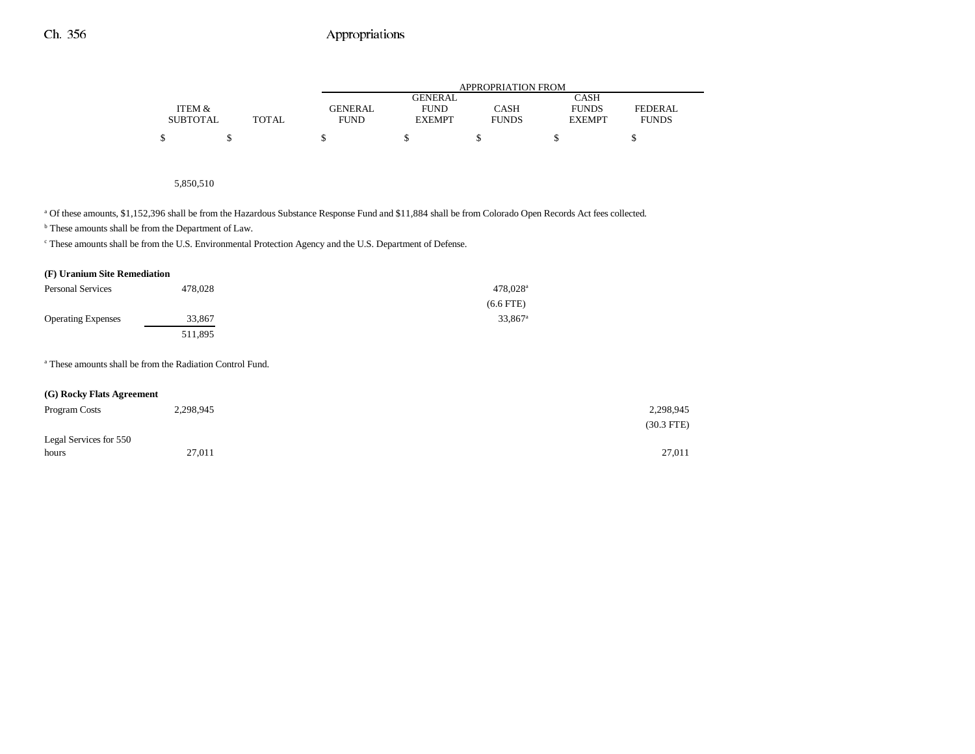|                 |       | APPROPRIATION FROM |               |              |               |              |
|-----------------|-------|--------------------|---------------|--------------|---------------|--------------|
|                 |       |                    | GENERAL       |              | CASH          |              |
| ITEM &          |       | GENERAL            | <b>FUND</b>   | CASH         | <b>FUNDS</b>  | FEDERAL      |
| <b>SUBTOTAL</b> | TOTAL | <b>FUND</b>        | <b>EXEMPT</b> | <b>FUNDS</b> | <b>EXEMPT</b> | <b>FUNDS</b> |
| \$              |       |                    |               |              |               |              |

#### 5,850,510

a Of these amounts, \$1,152,396 shall be from the Hazardous Substance Response Fund and \$11,884 shall be from Colorado Open Records Act fees collected.

b These amounts shall be from the Department of Law.

c These amounts shall be from the U.S. Environmental Protection Agency and the U.S. Department of Defense.

#### **(F) Uranium Site Remediation**

| <b>Personal Services</b>  | 478,028 | $478,028$ <sup>a</sup> |
|---------------------------|---------|------------------------|
|                           |         | $(6.6$ FTE)            |
| <b>Operating Expenses</b> | 33,867  | $33.867$ <sup>a</sup>  |
|                           | 511.895 |                        |

a These amounts shall be from the Radiation Control Fund.

#### **(G) Rocky Flats Agreement**

| Program Costs          | 2,298,945 | 2,298,945    |
|------------------------|-----------|--------------|
|                        |           | $(30.3$ FTE) |
| Legal Services for 550 |           |              |
| hours                  | 27,011    | 27,011       |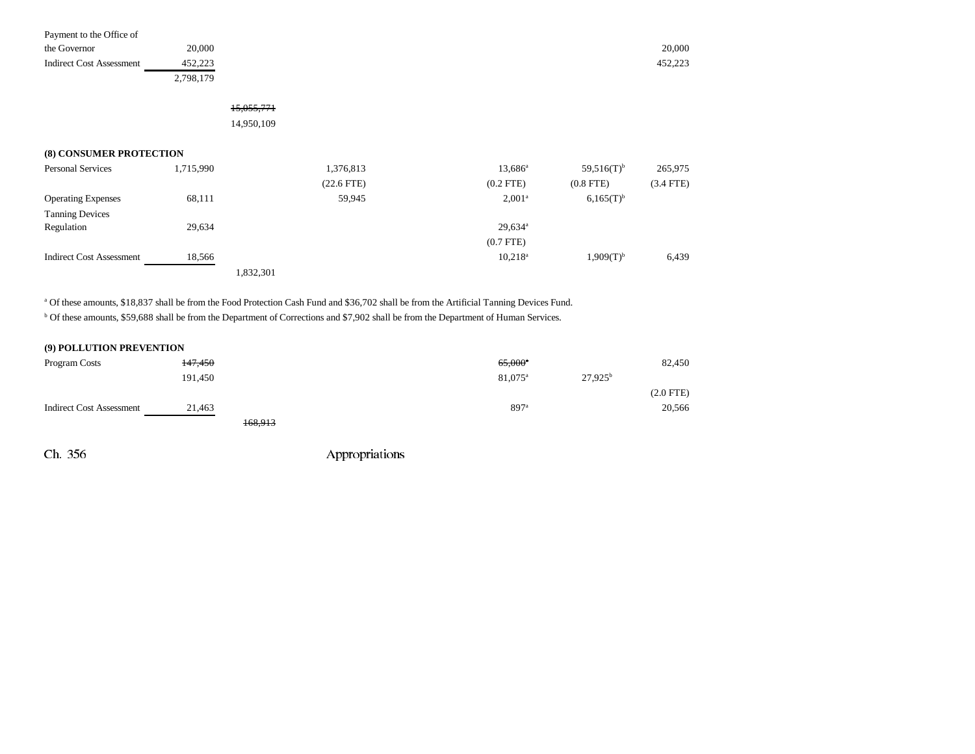| Payment to the Office of |           |         |
|--------------------------|-----------|---------|
| the Governor             | 20,000    | 20,000  |
| Indirect Cost Assessment | 452.223   | 452,223 |
|                          | 2,798,179 |         |

# 15,055,771

14,950,109

## **(8) CONSUMER PROTECTION**

| <b>Personal Services</b>        | 1,715,990 | 1,376,813       | 13,686 <sup>a</sup>   | $59,516(T)$ <sup>b</sup> | 265,975     |
|---------------------------------|-----------|-----------------|-----------------------|--------------------------|-------------|
|                                 |           | $(22.6$ FTE $)$ | $(0.2$ FTE)           | $(0.8$ FTE)              | $(3.4$ FTE) |
| <b>Operating Expenses</b>       | 68,111    | 59,945          | $2,001^a$             | $6,165(T)$ <sup>b</sup>  |             |
| <b>Tanning Devices</b>          |           |                 |                       |                          |             |
| Regulation                      | 29,634    |                 | $29,634$ <sup>a</sup> |                          |             |
|                                 |           |                 | $(0.7$ FTE)           |                          |             |
| <b>Indirect Cost Assessment</b> | 18,566    |                 | $10.218^{\rm a}$      | $1,909(T)^{b}$           | 6,439       |
|                                 |           | 1,832,301       |                       |                          |             |

a Of these amounts, \$18,837 shall be from the Food Protection Cash Fund and \$36,702 shall be from the Artificial Tanning Devices Fund.

b Of these amounts, \$59,688 shall be from the Department of Corrections and \$7,902 shall be from the Department of Human Services.

### **(9) POLLUTION PREVENTION**

| Program Costs                   | <del>147,450</del> |         | $65,000^{\circ}$    |            | 82,450         |
|---------------------------------|--------------------|---------|---------------------|------------|----------------|
|                                 | 191.450            |         | 81,075 <sup>a</sup> | $27.925^b$ |                |
|                                 |                    |         |                     |            | $(2.0$ FTE $)$ |
| <b>Indirect Cost Assessment</b> | 21,463             |         | 897 <sup>a</sup>    |            | 20,566         |
|                                 |                    | 168,913 |                     |            |                |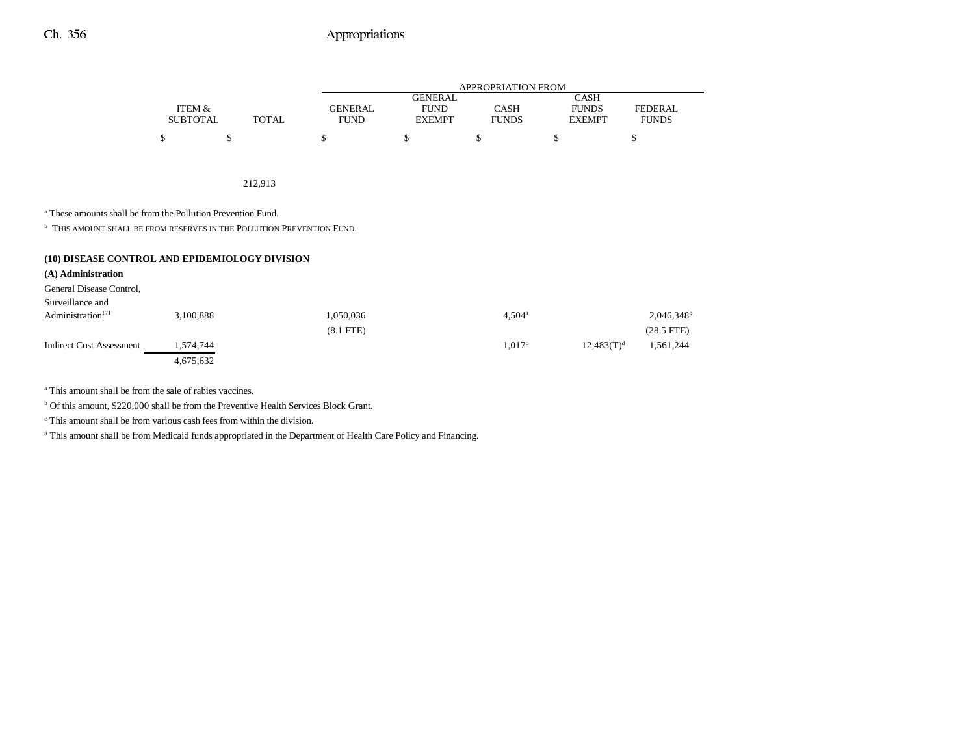|                 |       |             | <b>APPROPRIATION FROM</b> |              |               |              |  |  |  |  |
|-----------------|-------|-------------|---------------------------|--------------|---------------|--------------|--|--|--|--|
|                 |       |             | <b>GENERAL</b>            |              | CASH          |              |  |  |  |  |
| ITEM &          |       | GENERAL     | <b>FUND</b>               | CASH         | <b>FUNDS</b>  | FEDERAL.     |  |  |  |  |
| <b>SUBTOTAL</b> | TOTAL | <b>FUND</b> | <b>EXEMPT</b>             | <b>FUNDS</b> | <b>EXEMPT</b> | <b>FUNDS</b> |  |  |  |  |
| \$              |       |             |                           |              |               |              |  |  |  |  |

212,913

a These amounts shall be from the Pollution Prevention Fund.

**b** THIS AMOUNT SHALL BE FROM RESERVES IN THE POLLUTION PREVENTION FUND.

| (10) DISEASE CONTROL AND EPIDEMIOLOGY DIVISION |           |                |                    |               |                          |
|------------------------------------------------|-----------|----------------|--------------------|---------------|--------------------------|
| (A) Administration                             |           |                |                    |               |                          |
| General Disease Control,                       |           |                |                    |               |                          |
| Surveillance and                               |           |                |                    |               |                          |
| Administration <sup>171</sup>                  | 3.100.888 | 1,050,036      | $4.504^{\circ}$    |               | $2,046,348$ <sup>t</sup> |
|                                                |           | $(8.1$ FTE $)$ |                    |               | $(28.5$ FTE $)$          |
| <b>Indirect Cost Assessment</b>                | 1,574,744 |                | 1.017 <sup>c</sup> | $12,483(T)^d$ | 1,561,244                |
|                                                | 4,675,632 |                |                    |               |                          |

a This amount shall be from the sale of rabies vaccines.

b Of this amount, \$220,000 shall be from the Preventive Health Services Block Grant.

c This amount shall be from various cash fees from within the division.

<sup>d</sup> This amount shall be from Medicaid funds appropriated in the Department of Health Care Policy and Financing.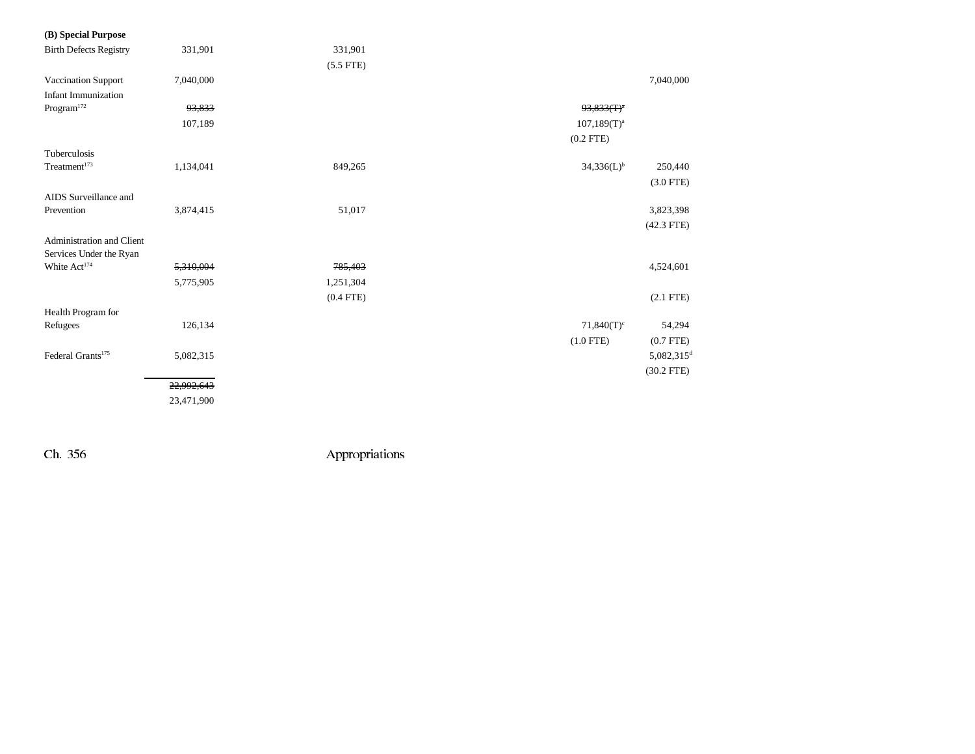| (B) Special Purpose           |            |             |                           |                          |
|-------------------------------|------------|-------------|---------------------------|--------------------------|
| <b>Birth Defects Registry</b> | 331,901    | 331,901     |                           |                          |
|                               |            | $(5.5$ FTE) |                           |                          |
| Vaccination Support           | 7,040,000  |             |                           | 7,040,000                |
| <b>Infant Immunization</b>    |            |             |                           |                          |
| $\rm{Program}^{172}$          | 93,833     |             | $93,833$ (T) <sup>a</sup> |                          |
|                               | 107,189    |             | $107,189(T)^{a}$          |                          |
|                               |            |             | $(0.2$ FTE)               |                          |
| Tuberculosis                  |            |             |                           |                          |
| Treatment <sup>173</sup>      | 1,134,041  | 849,265     | $34,336(L)^{b}$           | 250,440                  |
|                               |            |             |                           | $(3.0$ FTE)              |
| AIDS Surveillance and         |            |             |                           |                          |
| Prevention                    | 3,874,415  | 51,017      |                           | 3,823,398                |
|                               |            |             |                           | $(42.3$ FTE)             |
| Administration and Client     |            |             |                           |                          |
| Services Under the Ryan       |            |             |                           |                          |
| White Act <sup>174</sup>      | 5,310,004  | 785,403     |                           | 4,524,601                |
|                               | 5,775,905  | 1,251,304   |                           |                          |
|                               |            | $(0.4$ FTE) |                           | $(2.1$ FTE $)$           |
| Health Program for            |            |             |                           |                          |
| Refugees                      | 126,134    |             | $71,840(T)^c$             | 54,294                   |
|                               |            |             | $(1.0$ FTE)               | $(0.7$ FTE $)$           |
| Federal Grants <sup>175</sup> | 5,082,315  |             |                           | $5,082,315$ <sup>d</sup> |
|                               |            |             |                           | $(30.2$ FTE)             |
|                               | 22,992,643 |             |                           |                          |
|                               | 23,471,900 |             |                           |                          |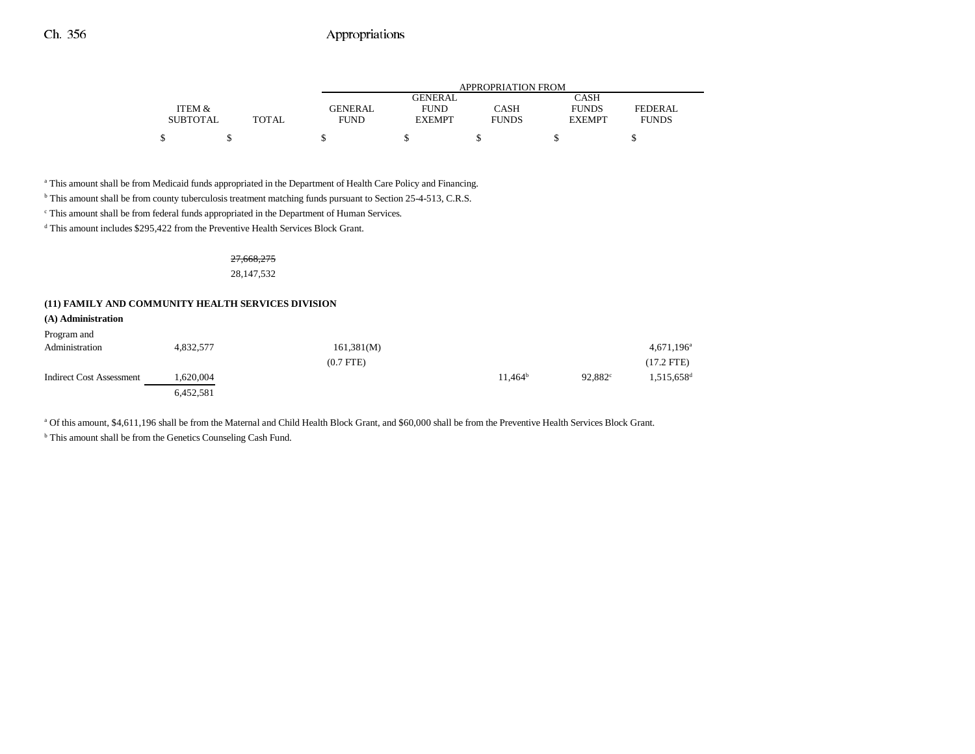|                 |       |                | APPROPRIATION FROM |              |               |                |  |  |  |  |
|-----------------|-------|----------------|--------------------|--------------|---------------|----------------|--|--|--|--|
|                 |       |                | GENERAL            |              | <b>CASH</b>   |                |  |  |  |  |
| ITEM &          |       | <b>GENERAL</b> | <b>FUND</b>        | CASH         | <b>FUNDS</b>  | <b>FEDERAL</b> |  |  |  |  |
| <b>SUBTOTAL</b> | TOTAL | <b>FUND</b>    | <b>EXEMPT</b>      | <b>FUNDS</b> | <b>EXEMPT</b> | <b>FUNDS</b>   |  |  |  |  |
| ¢               |       |                |                    |              |               |                |  |  |  |  |

a This amount shall be from Medicaid funds appropriated in the Department of Health Care Policy and Financing.

b This amount shall be from county tuberculosis treatment matching funds pursuant to Section 25-4-513, C.R.S.

 $^{\mathrm{c}}$  This amount shall be from federal funds appropriated in the Department of Human Services.

<sup>d</sup> This amount includes \$295,422 from the Preventive Health Services Block Grant.

#### 27,668,275 28,147,532

#### **(11) FAMILY AND COMMUNITY HEALTH SERVICES DIVISION**

| (A) Administration              |           |                |            |                  |                          |
|---------------------------------|-----------|----------------|------------|------------------|--------------------------|
| Program and                     |           |                |            |                  |                          |
| Administration                  | 4,832,577 | 161,381(M)     |            |                  | $4,671,196$ <sup>a</sup> |
|                                 |           | $(0.7$ FTE $)$ |            |                  | $(17.2$ FTE)             |
| <b>Indirect Cost Assessment</b> | 1,620,004 |                | $11.464^b$ | $92.882^{\circ}$ | $1,515,658$ <sup>d</sup> |
|                                 | 6,452,581 |                |            |                  |                          |

a Of this amount, \$4,611,196 shall be from the Maternal and Child Health Block Grant, and \$60,000 shall be from the Preventive Health Services Block Grant.

<sup>b</sup> This amount shall be from the Genetics Counseling Cash Fund.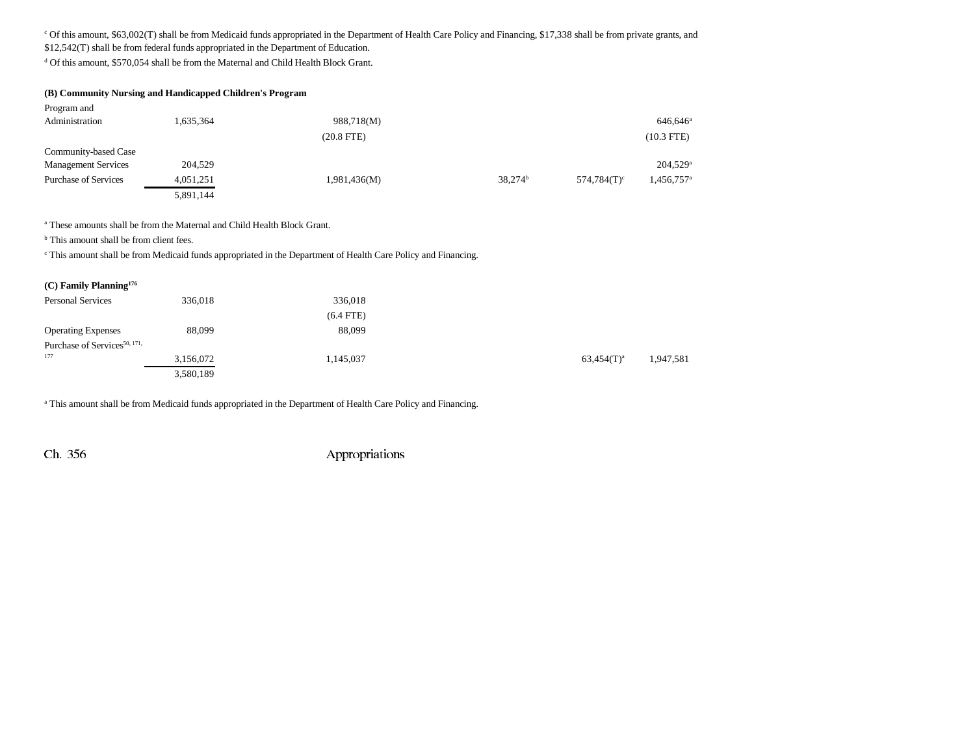<sup>c</sup> Of this amount, \$63,002(T) shall be from Medicaid funds appropriated in the Department of Health Care Policy and Financing, \$17,338 shall be from private grants, and \$12,542(T) shall be from federal funds appropriated in the Department of Education.

<sup>d</sup> Of this amount, \$570,054 shall be from the Maternal and Child Health Block Grant.

| (B) Community Nursing and Handicapped Children's Program |           |                 |            |                |                        |  |  |  |  |
|----------------------------------------------------------|-----------|-----------------|------------|----------------|------------------------|--|--|--|--|
| Program and                                              |           |                 |            |                |                        |  |  |  |  |
| Administration                                           | 1,635,364 | 988,718(M)      |            |                | 646.646 <sup>a</sup>   |  |  |  |  |
|                                                          |           | $(20.8$ FTE $)$ |            |                | $(10.3$ FTE)           |  |  |  |  |
| Community-based Case                                     |           |                 |            |                |                        |  |  |  |  |
| <b>Management Services</b>                               | 204,529   |                 |            |                | 204,529 <sup>a</sup>   |  |  |  |  |
| <b>Purchase of Services</b>                              | 4,051,251 | 1,981,436(M)    | $38,274^b$ | $574.784(T)^c$ | 1,456,757 <sup>a</sup> |  |  |  |  |
|                                                          | 5,891,144 |                 |            |                |                        |  |  |  |  |

a These amounts shall be from the Maternal and Child Health Block Grant.

<sup>b</sup> This amount shall be from client fees.

c This amount shall be from Medicaid funds appropriated in the Department of Health Care Policy and Financing.

| $(C)$ Family Planning <sup>176</sup>     |           |             |               |           |
|------------------------------------------|-----------|-------------|---------------|-----------|
| <b>Personal Services</b>                 | 336,018   | 336,018     |               |           |
|                                          |           | $(6.4$ FTE) |               |           |
| <b>Operating Expenses</b>                | 88,099    | 88,099      |               |           |
| Purchase of Services <sup>50, 171,</sup> |           |             |               |           |
| 177                                      | 3,156,072 | 1,145,037   | $63,454(T)^a$ | 1,947,581 |
|                                          | 3,580,189 |             |               |           |

a This amount shall be from Medicaid funds appropriated in the Department of Health Care Policy and Financing.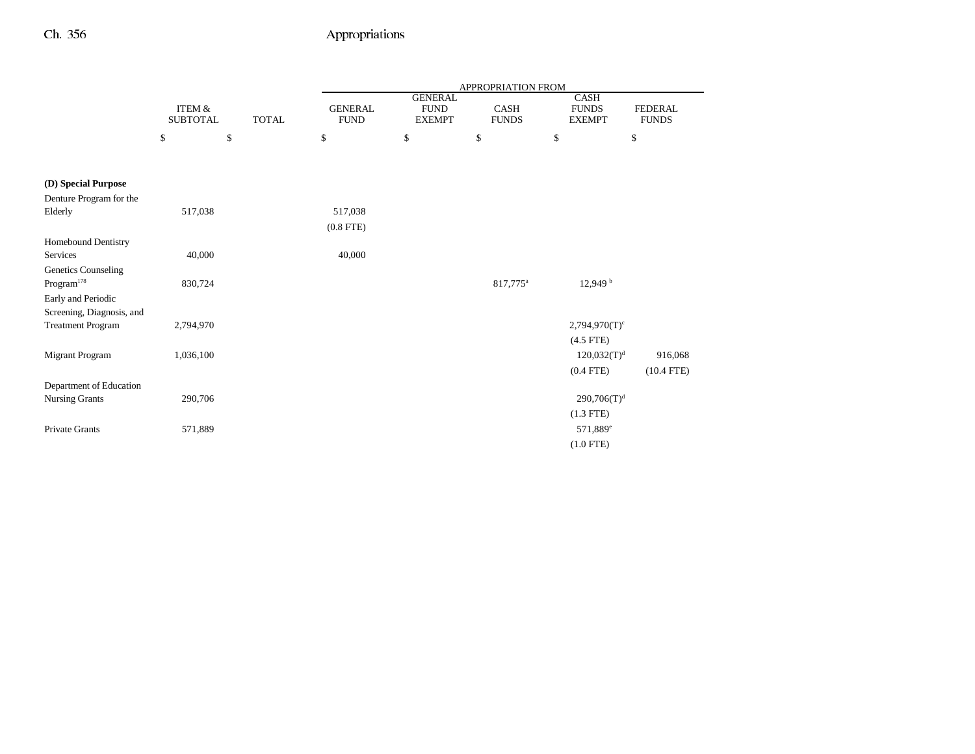|                                             |                           |              | APPROPRIATION FROM            |                                                |                      |                                              |                                |  |  |
|---------------------------------------------|---------------------------|--------------|-------------------------------|------------------------------------------------|----------------------|----------------------------------------------|--------------------------------|--|--|
|                                             | ITEM &<br><b>SUBTOTAL</b> | <b>TOTAL</b> | <b>GENERAL</b><br><b>FUND</b> | <b>GENERAL</b><br><b>FUND</b><br><b>EXEMPT</b> | CASH<br><b>FUNDS</b> | <b>CASH</b><br><b>FUNDS</b><br><b>EXEMPT</b> | <b>FEDERAL</b><br><b>FUNDS</b> |  |  |
|                                             | \$                        | \$           | \$                            | \$                                             | \$                   | \$                                           | \$                             |  |  |
| (D) Special Purpose                         |                           |              |                               |                                                |                      |                                              |                                |  |  |
| Denture Program for the                     |                           |              |                               |                                                |                      |                                              |                                |  |  |
| Elderly                                     | 517,038                   |              | 517,038                       |                                                |                      |                                              |                                |  |  |
|                                             |                           |              | $(0.8$ FTE)                   |                                                |                      |                                              |                                |  |  |
| Homebound Dentistry                         |                           |              |                               |                                                |                      |                                              |                                |  |  |
| Services                                    | 40,000                    |              | 40,000                        |                                                |                      |                                              |                                |  |  |
| Genetics Counseling<br>$\rm{Program}^{178}$ | 830,724                   |              |                               |                                                | 817,775 <sup>a</sup> | 12,949 <sup>b</sup>                          |                                |  |  |
| Early and Periodic                          |                           |              |                               |                                                |                      |                                              |                                |  |  |
| Screening, Diagnosis, and                   |                           |              |                               |                                                |                      |                                              |                                |  |  |
| <b>Treatment Program</b>                    | 2,794,970                 |              |                               |                                                |                      | $2,794,970(T)$ <sup>c</sup>                  |                                |  |  |
|                                             |                           |              |                               |                                                |                      | $(4.5$ FTE)                                  |                                |  |  |
| Migrant Program                             | 1,036,100                 |              |                               |                                                |                      | 120,032(T) <sup>d</sup>                      | 916,068                        |  |  |
|                                             |                           |              |                               |                                                |                      | $(0.4$ FTE)                                  | $(10.4$ FTE)                   |  |  |
| Department of Education                     |                           |              |                               |                                                |                      |                                              |                                |  |  |
| <b>Nursing Grants</b>                       | 290,706                   |              |                               |                                                |                      | 290,706(T) <sup>d</sup>                      |                                |  |  |
|                                             |                           |              |                               |                                                |                      | $(1.3$ FTE)                                  |                                |  |  |
| Private Grants                              | 571,889                   |              |                               |                                                |                      | 571,889 <sup>e</sup>                         |                                |  |  |
|                                             |                           |              |                               |                                                |                      | $(1.0$ FTE)                                  |                                |  |  |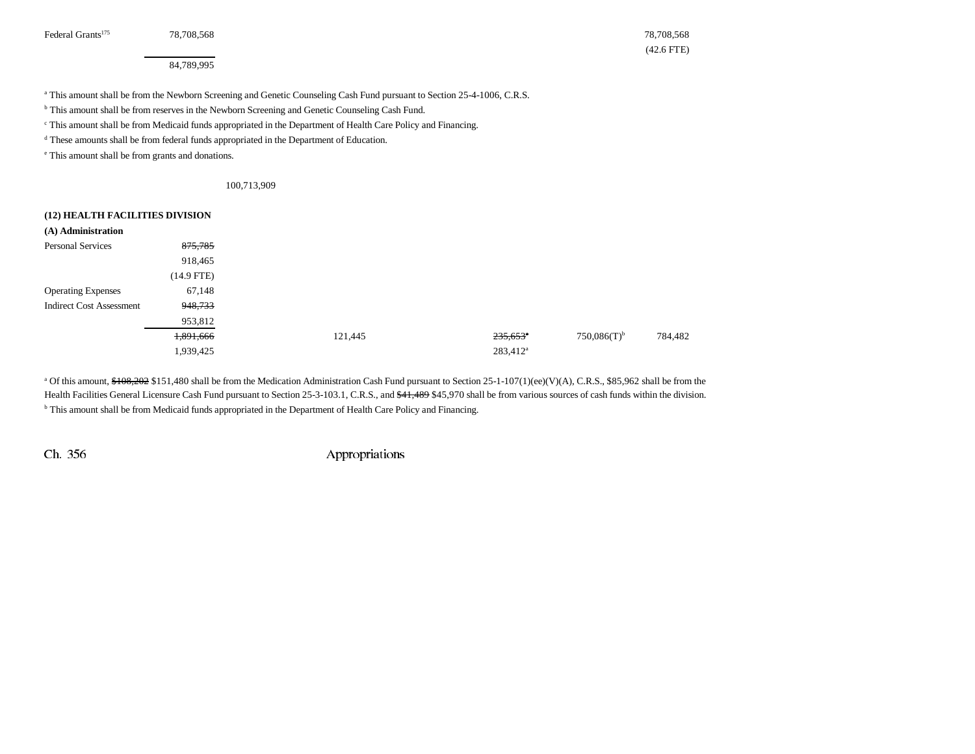Federal Grants<sup>175</sup> 28,708,568 78,708,568 78,708,568 78,708 78,708,568 78,708 78,708 78 78,708 78 78 79 *79* 

(42.6 FTE)

84,789,995

a This amount shall be from the Newborn Screening and Genetic Counseling Cash Fund pursuant to Section 25-4-1006, C.R.S.

<sup>b</sup> This amount shall be from reserves in the Newborn Screening and Genetic Counseling Cash Fund.

c This amount shall be from Medicaid funds appropriated in the Department of Health Care Policy and Financing.

d These amounts shall be from federal funds appropriated in the Department of Education.

e This amount shall be from grants and donations.

100,713,909

| (12) HEALTH FACILITIES DIVISION |              |         |                        |                           |         |
|---------------------------------|--------------|---------|------------------------|---------------------------|---------|
| (A) Administration              |              |         |                        |                           |         |
| <b>Personal Services</b>        | 875,785      |         |                        |                           |         |
|                                 | 918,465      |         |                        |                           |         |
|                                 | $(14.9$ FTE) |         |                        |                           |         |
| <b>Operating Expenses</b>       | 67,148       |         |                        |                           |         |
| <b>Indirect Cost Assessment</b> | 948,733      |         |                        |                           |         |
|                                 | 953,812      |         |                        |                           |         |
|                                 | 1,891,666    | 121,445 | $235,653$ <sup>*</sup> | $750,086(T)$ <sup>b</sup> | 784,482 |
|                                 | 1,939,425    |         | 283,412 <sup>a</sup>   |                           |         |

<sup>a</sup> Of this amount, \$108,202 \$151,480 shall be from the Medication Administration Cash Fund pursuant to Section 25-1-107(1)(ee)(V)(A), C.R.S., \$85,962 shall be from the Health Facilities General Licensure Cash Fund pursuant to Section 25-3-103.1, C.R.S., and \$41,489 \$45,970 shall be from various sources of cash funds within the division. <sup>b</sup> This amount shall be from Medicaid funds appropriated in the Department of Health Care Policy and Financing.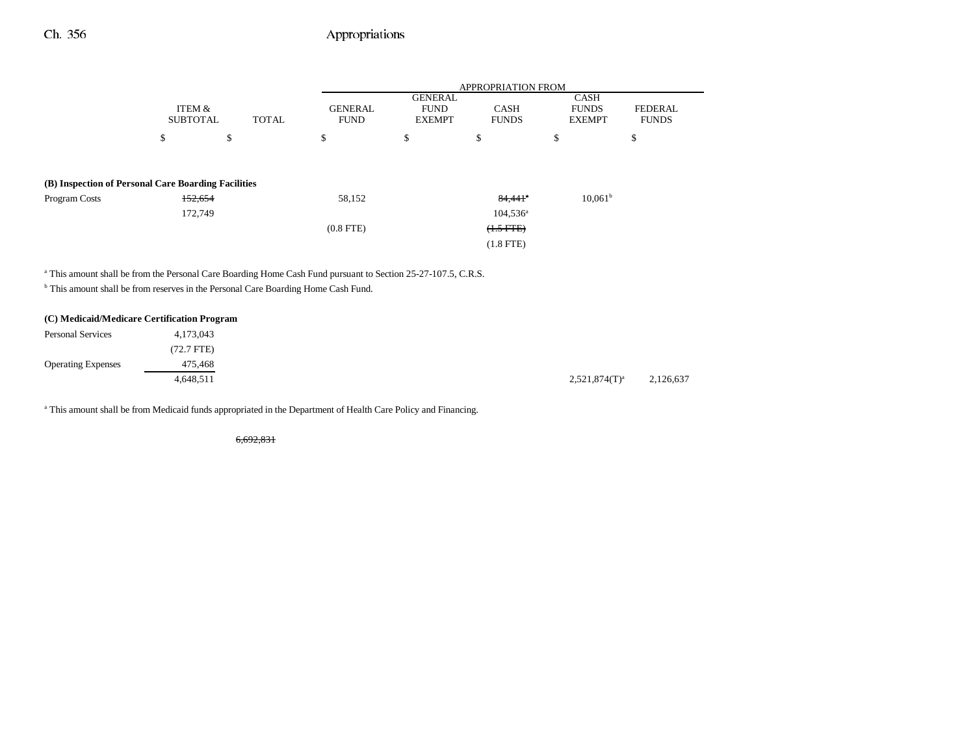|                                                     |                           |              | <b>APPROPRIATION FROM</b>     |                                                |                             |                                              |                                |  |  |
|-----------------------------------------------------|---------------------------|--------------|-------------------------------|------------------------------------------------|-----------------------------|----------------------------------------------|--------------------------------|--|--|
|                                                     | ITEM &<br><b>SUBTOTAL</b> | <b>TOTAL</b> | <b>GENERAL</b><br><b>FUND</b> | <b>GENERAL</b><br><b>FUND</b><br><b>EXEMPT</b> | <b>CASH</b><br><b>FUNDS</b> | <b>CASH</b><br><b>FUNDS</b><br><b>EXEMPT</b> | <b>FEDERAL</b><br><b>FUNDS</b> |  |  |
|                                                     | \$                        | \$           | \$                            | \$                                             | \$                          | \$                                           | \$                             |  |  |
| (B) Inspection of Personal Care Boarding Facilities |                           |              |                               |                                                |                             |                                              |                                |  |  |
|                                                     |                           |              |                               |                                                |                             |                                              |                                |  |  |
| Program Costs                                       | 152,654                   |              | 58,152                        |                                                | $84,441$ <sup>a</sup>       | $10,061^{\rm b}$                             |                                |  |  |
|                                                     | 172,749                   |              |                               |                                                | $104,536^{\circ}$           |                                              |                                |  |  |
|                                                     |                           |              | $(0.8$ FTE $)$                |                                                | $(1.5 FFE)$                 |                                              |                                |  |  |
|                                                     |                           |              |                               |                                                | $(1.8$ FTE)                 |                                              |                                |  |  |
|                                                     |                           |              |                               |                                                |                             |                                              |                                |  |  |

<sup>a</sup> This amount shall be from the Personal Care Boarding Home Cash Fund pursuant to Section 25-27-107.5, C.R.S.

b This amount shall be from reserves in the Personal Care Boarding Home Cash Fund.

### **(C) Medicaid/Medicare Certification Program**

| <b>Personal Services</b>  | 4,173,043            |                  |  |
|---------------------------|----------------------|------------------|--|
|                           | $(72.7 \text{ FTE})$ |                  |  |
| <b>Operating Expenses</b> | 475,468              |                  |  |
|                           | 4,648,511            | $2,521,874(T)^a$ |  |

<sup>a</sup> This amount shall be from Medicaid funds appropriated in the Department of Health Care Policy and Financing.

6,692,831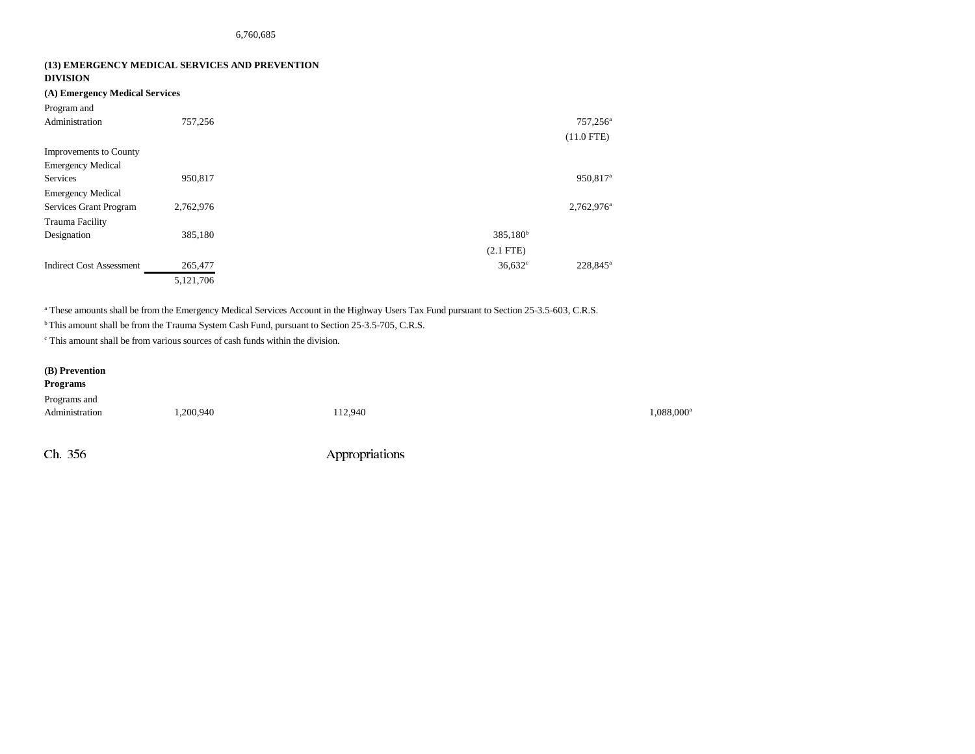#### **(13) EMERGENCY MEDICAL SERVICES AND PREVENTION DIVISION**

### **(A) Emergency Medical Services**

| Program and                     |           |                      |                        |
|---------------------------------|-----------|----------------------|------------------------|
| Administration                  | 757,256   |                      | $757,256^{\circ}$      |
|                                 |           |                      | $(11.0$ FTE)           |
| <b>Improvements to County</b>   |           |                      |                        |
| <b>Emergency Medical</b>        |           |                      |                        |
| <b>Services</b>                 | 950,817   |                      | 950,817 <sup>a</sup>   |
| <b>Emergency Medical</b>        |           |                      |                        |
| Services Grant Program          | 2,762,976 |                      | 2,762,976 <sup>a</sup> |
| Trauma Facility                 |           |                      |                        |
| Designation                     | 385,180   | 385,180 <sup>b</sup> |                        |
|                                 |           | $(2.1$ FTE)          |                        |
| <b>Indirect Cost Assessment</b> | 265,477   | $36,632^{\circ}$     | 228,845 <sup>a</sup>   |
|                                 | 5,121,706 |                      |                        |

<sup>a</sup> These amounts shall be from the Emergency Medical Services Account in the Highway Users Tax Fund pursuant to Section 25-3.5-603, C.R.S.

b This amount shall be from the Trauma System Cash Fund, pursuant to Section 25-3.5-705, C.R.S.

c This amount shall be from various sources of cash funds within the division.

### **(B) Prevention**

# **Programs** Programs and  $\rm{Administration}$   $\rm{1,200,940}$   $\rm{112,940}$   $\rm{112,940}$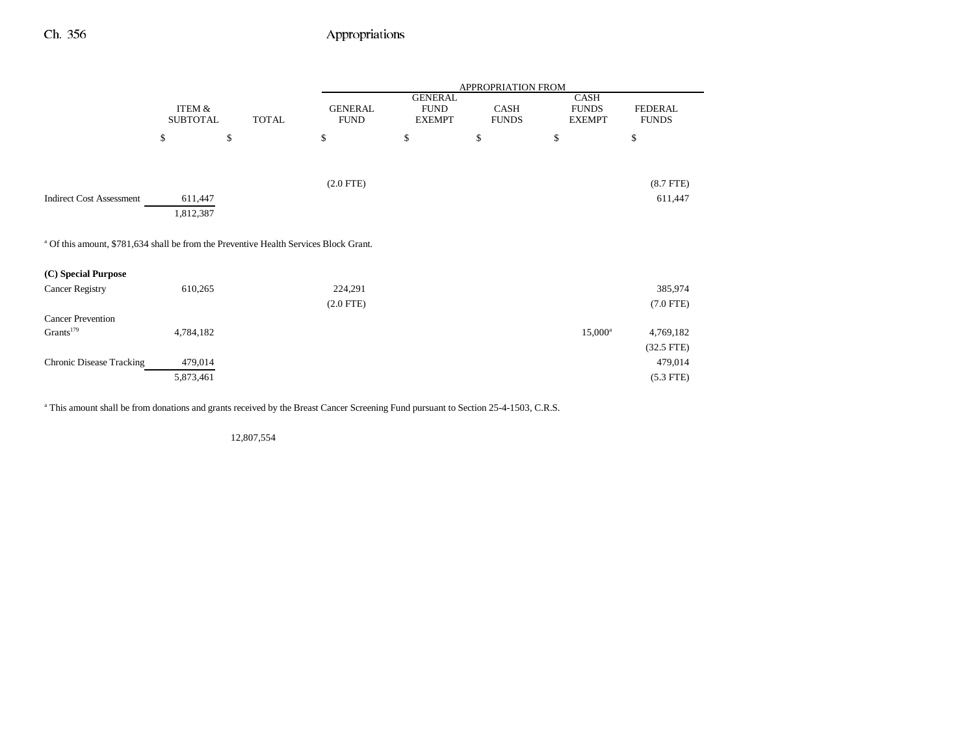|                                                                                                  |                           |              | APPROPRIATION FROM            |                                                |                      |                                       |                                |  |
|--------------------------------------------------------------------------------------------------|---------------------------|--------------|-------------------------------|------------------------------------------------|----------------------|---------------------------------------|--------------------------------|--|
|                                                                                                  | ITEM &<br><b>SUBTOTAL</b> | <b>TOTAL</b> | <b>GENERAL</b><br><b>FUND</b> | <b>GENERAL</b><br><b>FUND</b><br><b>EXEMPT</b> | CASH<br><b>FUNDS</b> | CASH<br><b>FUNDS</b><br><b>EXEMPT</b> | <b>FEDERAL</b><br><b>FUNDS</b> |  |
|                                                                                                  | \$                        | \$           | \$                            | \$                                             | \$                   | \$                                    | \$                             |  |
|                                                                                                  |                           |              |                               |                                                |                      |                                       |                                |  |
|                                                                                                  |                           |              | $(2.0$ FTE $)$                |                                                |                      |                                       | $(8.7$ FTE)                    |  |
| <b>Indirect Cost Assessment</b>                                                                  | 611,447                   |              |                               |                                                |                      |                                       | 611,447                        |  |
|                                                                                                  | 1,812,387                 |              |                               |                                                |                      |                                       |                                |  |
| <sup>a</sup> Of this amount, \$781,634 shall be from the Preventive Health Services Block Grant. |                           |              |                               |                                                |                      |                                       |                                |  |
| (C) Special Purpose                                                                              |                           |              |                               |                                                |                      |                                       |                                |  |
| <b>Cancer Registry</b>                                                                           | 610,265                   |              | 224,291                       |                                                |                      |                                       | 385,974                        |  |
|                                                                                                  |                           |              | $(2.0$ FTE $)$                |                                                |                      |                                       | $(7.0$ FTE)                    |  |
| <b>Cancer Prevention</b>                                                                         |                           |              |                               |                                                |                      |                                       |                                |  |
| Grants <sup>179</sup>                                                                            | 4,784,182                 |              |                               |                                                |                      | $15,000^{\rm a}$                      | 4,769,182                      |  |
|                                                                                                  |                           |              |                               |                                                |                      |                                       | $(32.5$ FTE)                   |  |
| <b>Chronic Disease Tracking</b>                                                                  | 479,014                   |              |                               |                                                |                      |                                       | 479,014                        |  |
|                                                                                                  | 5,873,461                 |              |                               |                                                |                      |                                       | $(5.3$ FTE)                    |  |

<sup>a</sup> This amount shall be from donations and grants received by the Breast Cancer Screening Fund pursuant to Section 25-4-1503, C.R.S.

12,807,554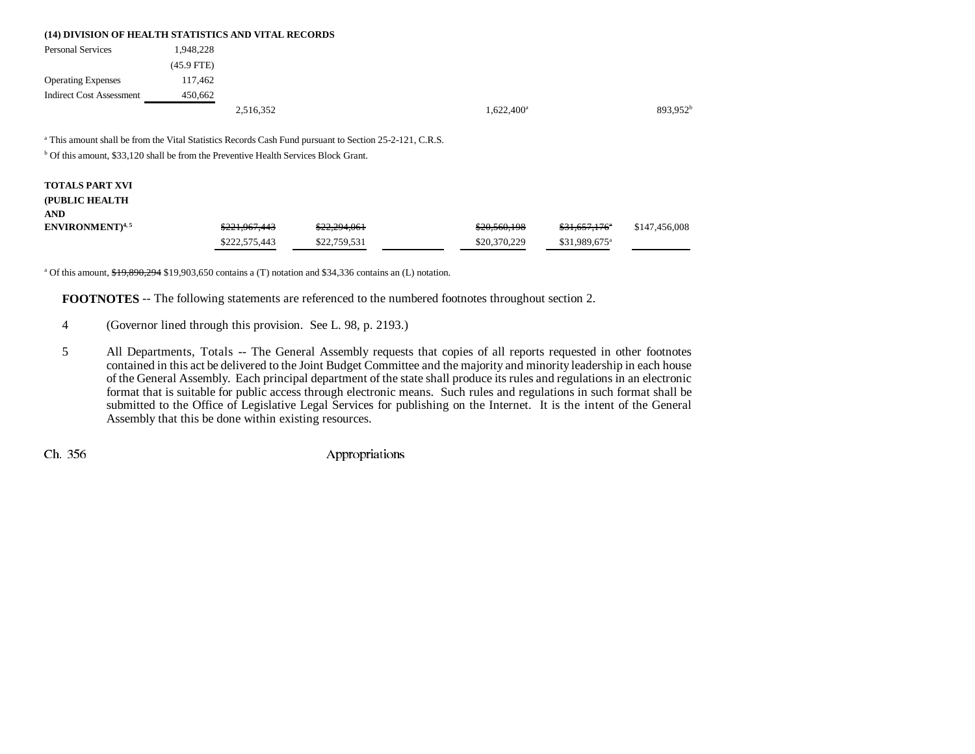|                                 |              | (14) DIVISION OF HEALTH STATISTICS AND VITAL RECORDS |               |                      |
|---------------------------------|--------------|------------------------------------------------------|---------------|----------------------|
| <b>Personal Services</b>        | 1.948.228    |                                                      |               |                      |
|                                 | $(45.9$ FTE) |                                                      |               |                      |
| <b>Operating Expenses</b>       | 117.462      |                                                      |               |                      |
| <b>Indirect Cost Assessment</b> | 450.662      |                                                      |               |                      |
|                                 |              | 2,516,352                                            | $1,622,400^a$ | 893.952 <sup>b</sup> |

a This amount shall be from the Vital Statistics Records Cash Fund pursuant to Section 25-2-121, C.R.S.

<sup>b</sup> Of this amount, \$33,120 shall be from the Preventive Health Services Block Grant.

## **TOTALS PART XVI (PUBLIC HEALTH ANDENVIRONMENT**)<sup>4,5</sup> \$221,967,443 \$22,294,061 \$22,394,064 \$20,560,198 \$31,657,176<sup>a</sup> \$147,456,008 \$222,575,443 \$22,759,531 \$20,370,229 \$31,989,675<sup>a</sup>

<sup>a</sup> Of this amount,  $$19,890,294$  \$19,903,650 contains a (T) notation and \$34,336 contains an (L) notation.

**FOOTNOTES** -- The following statements are referenced to the numbered footnotes throughout section 2.

- 4 (Governor lined through this provision. See L. 98, p. 2193.)
- 5 All Departments, Totals -- The General Assembly requests that copies of all reports requested in other footnotes contained in this act be delivered to the Joint Budget Committee and the majority and minority leadership in each house of the General Assembly. Each principal department of the state shall produce its rules and regulations in an electronic format that is suitable for public access through electronic means. Such rules and regulations in such format shall be submitted to the Office of Legislative Legal Services for publishing on the Internet. It is the intent of the General Assembly that this be done within existing resources.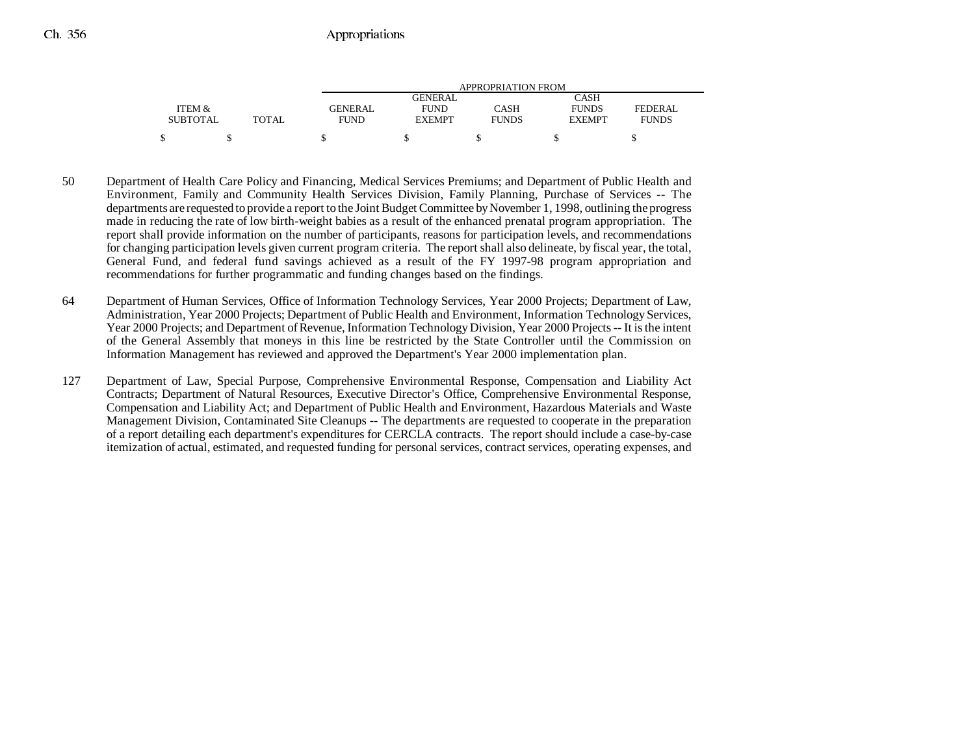|                 |              | APPROPRIATION FROM |               |              |               |                |
|-----------------|--------------|--------------------|---------------|--------------|---------------|----------------|
|                 |              |                    | GENERAL       |              | CASH          |                |
| ITEM &          |              | <b>GENERAL</b>     | <b>FUND</b>   | CASH         | <b>FUNDS</b>  | <b>FEDERAL</b> |
| <b>SUBTOTAL</b> | <b>TOTAL</b> | <b>FUND</b>        | <b>EXEMPT</b> | <b>FUNDS</b> | <b>EXEMPT</b> | <b>FUNDS</b>   |
|                 |              |                    |               |              |               |                |

- 50 Department of Health Care Policy and Financing, Medical Services Premiums; and Department of Public Health and Environment, Family and Community Health Services Division, Family Planning, Purchase of Services -- The departments are requested to provide a report to the Joint Budget Committee by November 1, 1998, outlining the progress made in reducing the rate of low birth-weight babies as a result of the enhanced prenatal program appropriation. The report shall provide information on the number of participants, reasons for participation levels, and recommendations for changing participation levels given current program criteria. The report shall also delineate, by fiscal year, the total, General Fund, and federal fund savings achieved as a result of the FY 1997-98 program appropriation and recommendations for further programmatic and funding changes based on the findings.
- 64 Department of Human Services, Office of Information Technology Services, Year 2000 Projects; Department of Law, Administration, Year 2000 Projects; Department of Public Health and Environment, Information Technology Services, Year 2000 Projects; and Department of Revenue, Information Technology Division, Year 2000 Projects -- It is the intent of the General Assembly that moneys in this line be restricted by the State Controller until the Commission on Information Management has reviewed and approved the Department's Year 2000 implementation plan.
- 127 Department of Law, Special Purpose, Comprehensive Environmental Response, Compensation and Liability Act Contracts; Department of Natural Resources, Executive Director's Office, Comprehensive Environmental Response, Compensation and Liability Act; and Department of Public Health and Environment, Hazardous Materials and Waste Management Division, Contaminated Site Cleanups -- The departments are requested to cooperate in the preparation of a report detailing each department's expenditures for CERCLA contracts. The report should include a case-by-case itemization of actual, estimated, and requested funding for personal services, contract services, operating expenses, and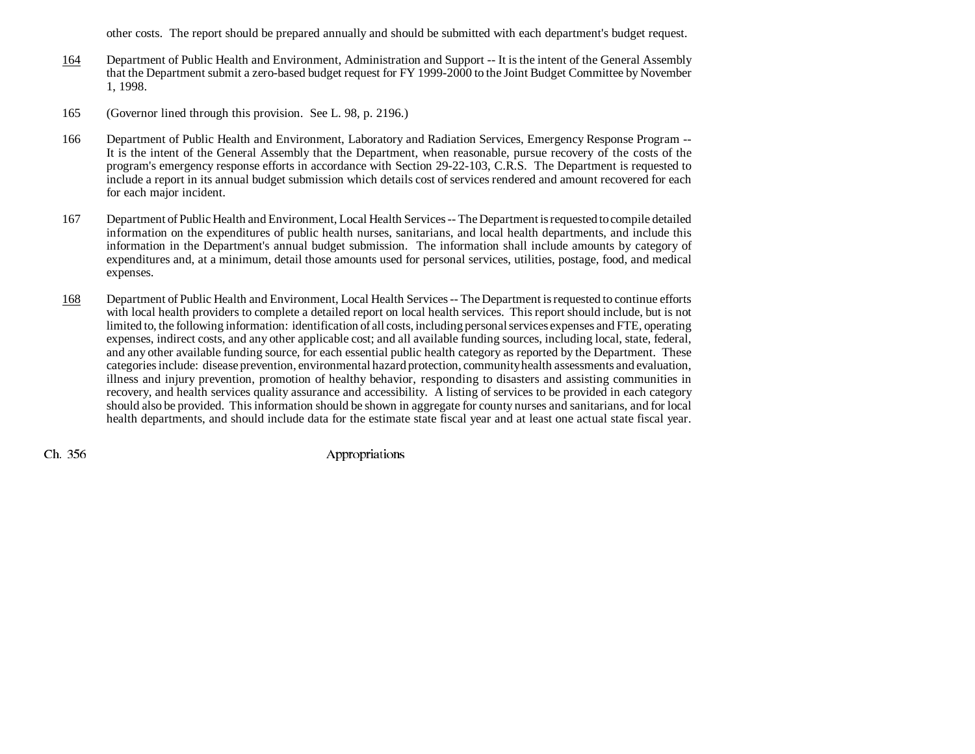other costs. The report should be prepared annually and should be submitted with each department's budget request.

- 164 Department of Public Health and Environment, Administration and Support -- It is the intent of the General Assembly that the Department submit a zero-based budget request for FY 1999-2000 to the Joint Budget Committee by November 1, 1998.
- 165 (Governor lined through this provision. See L. 98, p. 2196.)
- 166 Department of Public Health and Environment, Laboratory and Radiation Services, Emergency Response Program -- It is the intent of the General Assembly that the Department, when reasonable, pursue recovery of the costs of the program's emergency response efforts in accordance with Section 29-22-103, C.R.S. The Department is requested to include a report in its annual budget submission which details cost of services rendered and amount recovered for each for each major incident.
- 167 Department of Public Health and Environment, Local Health Services -- The Department is requested to compile detailed information on the expenditures of public health nurses, sanitarians, and local health departments, and include this information in the Department's annual budget submission. The information shall include amounts by category of expenditures and, at a minimum, detail those amounts used for personal services, utilities, postage, food, and medical expenses.
- 168 Department of Public Health and Environment, Local Health Services -- The Department is requested to continue efforts with local health providers to complete a detailed report on local health services. This report should include, but is not limited to, the following information: identification of all costs, including personal services expenses and FTE, operating expenses, indirect costs, and any other applicable cost; and all available funding sources, including local, state, federal, and any other available funding source, for each essential public health category as reported by the Department. These categories include: disease prevention, environmental hazard protection, community health assessments and evaluation, illness and injury prevention, promotion of healthy behavior, responding to disasters and assisting communities in recovery, and health services quality assurance and accessibility. A listing of services to be provided in each category should also be provided. This information should be shown in aggregate for county nurses and sanitarians, and for local health departments, and should include data for the estimate state fiscal year and at least one actual state fiscal year.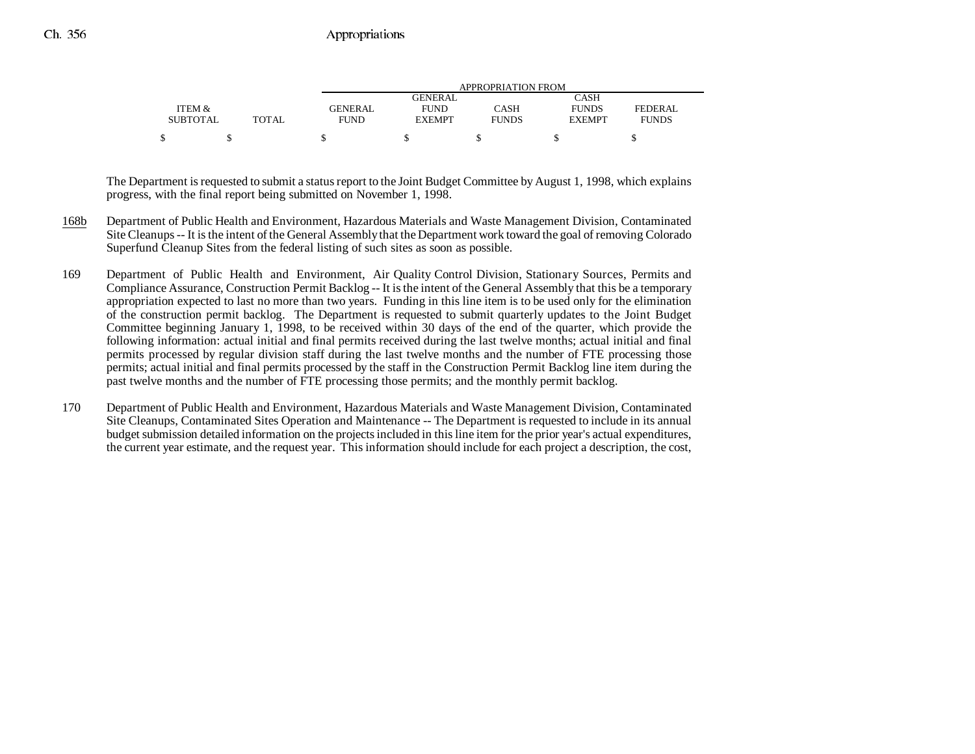|                 |              | APPROPRIATION FROM |               |              |               |              |  |
|-----------------|--------------|--------------------|---------------|--------------|---------------|--------------|--|
|                 |              |                    | GENERAL       |              | CASH          |              |  |
| ITEM &          |              | <b>GENERAL</b>     | <b>FUND</b>   | CASH         | <b>FUNDS</b>  | FEDERAL      |  |
| <b>SUBTOTAL</b> | <b>TOTAL</b> | FUND               | <b>EXEMPT</b> | <b>FUNDS</b> | <b>EXEMPT</b> | <b>FUNDS</b> |  |
|                 |              |                    |               |              |               |              |  |

The Department is requested to submit a status report to the Joint Budget Committee by August 1, 1998, which explains progress, with the final report being submitted on November 1, 1998.

- 168b Department of Public Health and Environment, Hazardous Materials and Waste Management Division, Contaminated Site Cleanups -- It is the intent of the General Assembly that the Department work toward the goal of removing Colorado Superfund Cleanup Sites from the federal listing of such sites as soon as possible.
- 169 Department of Public Health and Environment, Air Quality Control Division, Stationary Sources, Permits and Compliance Assurance, Construction Permit Backlog -- It is the intent of the General Assembly that this be a temporary appropriation expected to last no more than two years. Funding in this line item is to be used only for the elimination of the construction permit backlog. The Department is requested to submit quarterly updates to the Joint Budget Committee beginning January 1, 1998, to be received within 30 days of the end of the quarter, which provide the following information: actual initial and final permits received during the last twelve months; actual initial and final permits processed by regular division staff during the last twelve months and the number of FTE processing those permits; actual initial and final permits processed by the staff in the Construction Permit Backlog line item during the past twelve months and the number of FTE processing those permits; and the monthly permit backlog.
- 170 Department of Public Health and Environment, Hazardous Materials and Waste Management Division, Contaminated Site Cleanups, Contaminated Sites Operation and Maintenance -- The Department is requested to include in its annual budget submission detailed information on the projects included in this line item for the prior year's actual expenditures, the current year estimate, and the request year. This information should include for each project a description, the cost,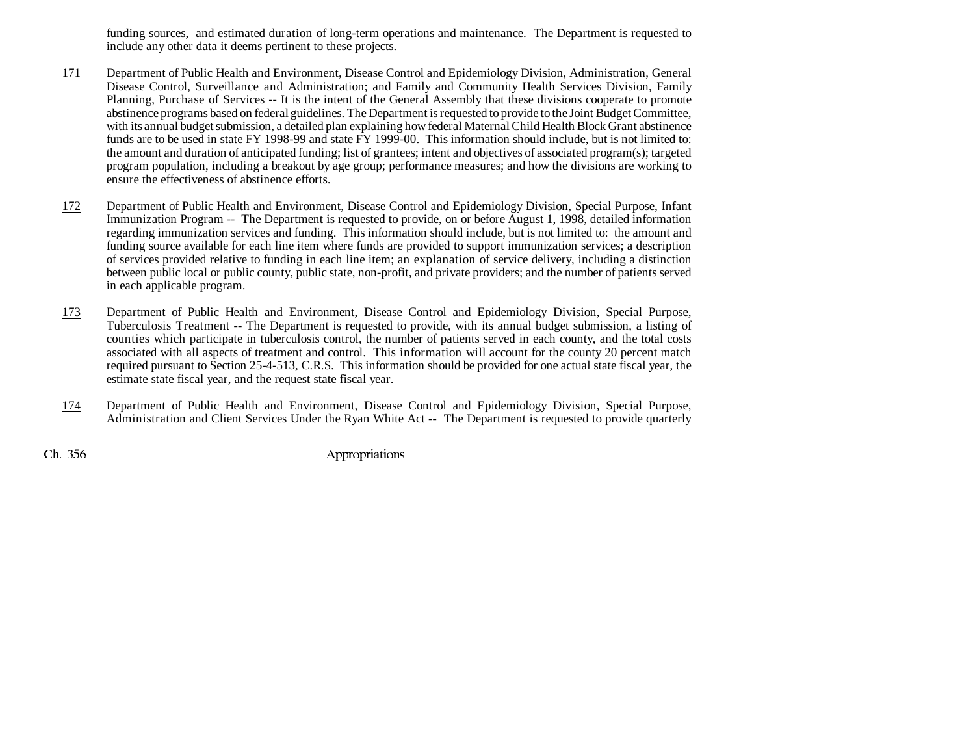funding sources, and estimated duration of long-term operations and maintenance. The Department is requested to include any other data it deems pertinent to these projects.

- 171 Department of Public Health and Environment, Disease Control and Epidemiology Division, Administration, General Disease Control, Surveillance and Administration; and Family and Community Health Services Division, Family Planning, Purchase of Services -- It is the intent of the General Assembly that these divisions cooperate to promote abstinence programs based on federal guidelines. The Department is requested to provide to the Joint Budget Committee, with its annual budget submission, a detailed plan explaining how federal Maternal Child Health Block Grant abstinence funds are to be used in state FY 1998-99 and state FY 1999-00. This information should include, but is not limited to: the amount and duration of anticipated funding; list of grantees; intent and objectives of associated program(s); targeted program population, including a breakout by age group; performance measures; and how the divisions are working to ensure the effectiveness of abstinence efforts.
- 172 Department of Public Health and Environment, Disease Control and Epidemiology Division, Special Purpose, Infant Immunization Program -- The Department is requested to provide, on or before August 1, 1998, detailed information regarding immunization services and funding. This information should include, but is not limited to: the amount and funding source available for each line item where funds are provided to support immunization services; a description of services provided relative to funding in each line item; an explanation of service delivery, including a distinction between public local or public county, public state, non-profit, and private providers; and the number of patients served in each applicable program.
- 173 Department of Public Health and Environment, Disease Control and Epidemiology Division, Special Purpose, Tuberculosis Treatment -- The Department is requested to provide, with its annual budget submission, a listing of counties which participate in tuberculosis control, the number of patients served in each county, and the total costs associated with all aspects of treatment and control. This information will account for the county 20 percent match required pursuant to Section 25-4-513, C.R.S. This information should be provided for one actual state fiscal year, the estimate state fiscal year, and the request state fiscal year.
- 174 Department of Public Health and Environment, Disease Control and Epidemiology Division, Special Purpose, Administration and Client Services Under the Ryan White Act -- The Department is requested to provide quarterly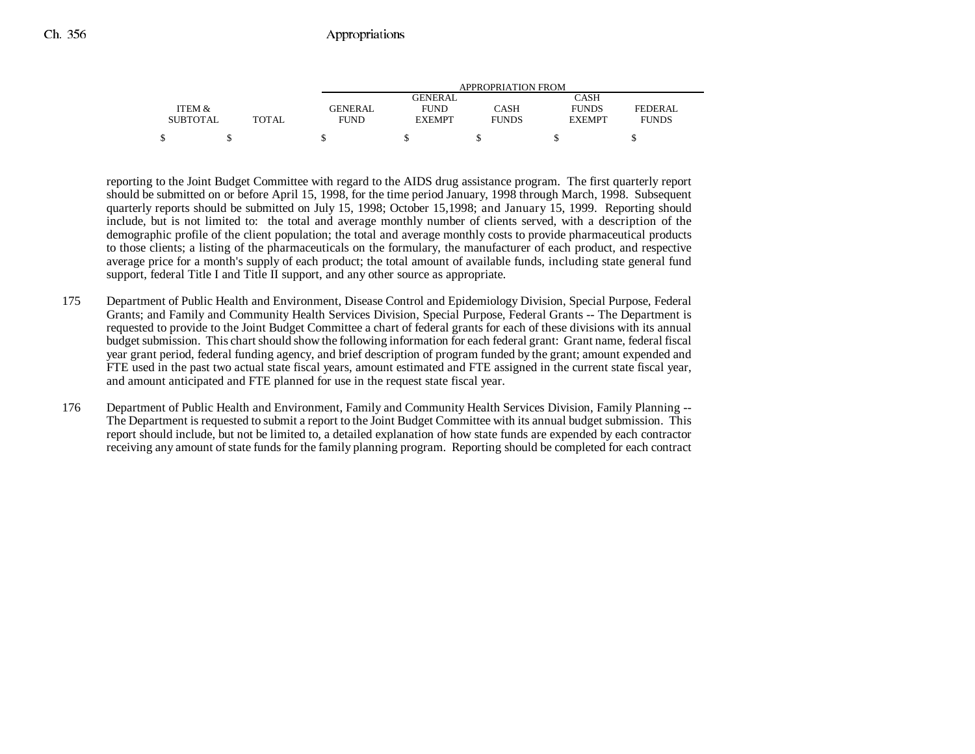|                 |              | APPROPRIATION FROM |                |              |               |              |  |
|-----------------|--------------|--------------------|----------------|--------------|---------------|--------------|--|
|                 |              |                    | <b>GENERAL</b> |              | CASH          |              |  |
| ITEM &          |              | <b>GENERAL</b>     | <b>FUND</b>    | CASH         | <b>FUNDS</b>  | FEDERAL      |  |
| <b>SUBTOTAL</b> | <b>TOTAL</b> | <b>FUND</b>        | <b>EXEMPT</b>  | <b>FUNDS</b> | <b>EXEMPT</b> | <b>FUNDS</b> |  |
| ¢               |              |                    |                |              |               |              |  |

reporting to the Joint Budget Committee with regard to the AIDS drug assistance program. The first quarterly report should be submitted on or before April 15, 1998, for the time period January, 1998 through March, 1998. Subsequent quarterly reports should be submitted on July 15, 1998; October 15,1998; and January 15, 1999. Reporting should include, but is not limited to: the total and average monthly number of clients served, with a description of the demographic profile of the client population; the total and average monthly costs to provide pharmaceutical products to those clients; a listing of the pharmaceuticals on the formulary, the manufacturer of each product, and respective average price for a month's supply of each product; the total amount of available funds, including state general fund support, federal Title I and Title II support, and any other source as appropriate.

- 175 Department of Public Health and Environment, Disease Control and Epidemiology Division, Special Purpose, Federal Grants; and Family and Community Health Services Division, Special Purpose, Federal Grants -- The Department is requested to provide to the Joint Budget Committee a chart of federal grants for each of these divisions with its annual budget submission. This chart should show the following information for each federal grant: Grant name, federal fiscal year grant period, federal funding agency, and brief description of program funded by the grant; amount expended and FTE used in the past two actual state fiscal years, amount estimated and FTE assigned in the current state fiscal year, and amount anticipated and FTE planned for use in the request state fiscal year.
- 176 Department of Public Health and Environment, Family and Community Health Services Division, Family Planning -- The Department is requested to submit a report to the Joint Budget Committee with its annual budget submission. This report should include, but not be limited to, a detailed explanation of how state funds are expended by each contractor receiving any amount of state funds for the family planning program. Reporting should be completed for each contract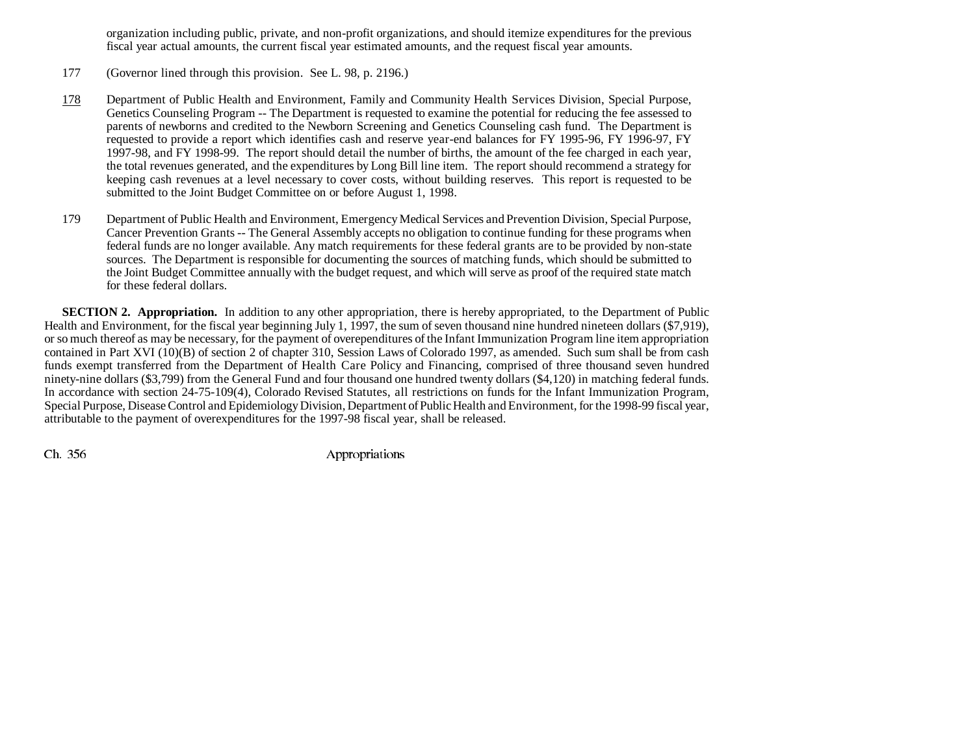organization including public, private, and non-profit organizations, and should itemize expenditures for the previous fiscal year actual amounts, the current fiscal year estimated amounts, and the request fiscal year amounts.

177 (Governor lined through this provision. See L. 98, p. 2196.)

- 178 Department of Public Health and Environment, Family and Community Health Services Division, Special Purpose, Genetics Counseling Program -- The Department is requested to examine the potential for reducing the fee assessed to parents of newborns and credited to the Newborn Screening and Genetics Counseling cash fund. The Department is requested to provide a report which identifies cash and reserve year-end balances for FY 1995-96, FY 1996-97, FY 1997-98, and FY 1998-99. The report should detail the number of births, the amount of the fee charged in each year, the total revenues generated, and the expenditures by Long Bill line item. The report should recommend a strategy for keeping cash revenues at a level necessary to cover costs, without building reserves. This report is requested to be submitted to the Joint Budget Committee on or before August 1, 1998.
- 179 Department of Public Health and Environment, Emergency Medical Services and Prevention Division, Special Purpose, Cancer Prevention Grants -- The General Assembly accepts no obligation to continue funding for these programs when federal funds are no longer available. Any match requirements for these federal grants are to be provided by non-state sources. The Department is responsible for documenting the sources of matching funds, which should be submitted to the Joint Budget Committee annually with the budget request, and which will serve as proof of the required state match for these federal dollars.

**SECTION 2. Appropriation.** In addition to any other appropriation, there is hereby appropriated, to the Department of Public Health and Environment, for the fiscal year beginning July 1, 1997, the sum of seven thousand nine hundred nineteen dollars (\$7,919), or so much thereof as may be necessary, for the payment of overependitures of the Infant Immunization Program line item appropriation contained in Part XVI (10)(B) of section 2 of chapter 310, Session Laws of Colorado 1997, as amended. Such sum shall be from cash funds exempt transferred from the Department of Health Care Policy and Financing, comprised of three thousand seven hundred ninety-nine dollars (\$3,799) from the General Fund and four thousand one hundred twenty dollars (\$4,120) in matching federal funds. In accordance with section 24-75-109(4), Colorado Revised Statutes, all restrictions on funds for the Infant Immunization Program, Special Purpose, Disease Control and Epidemiology Division, Department of Public Health and Environment, for the 1998-99 fiscal year, attributable to the payment of overexpenditures for the 1997-98 fiscal year, shall be released.